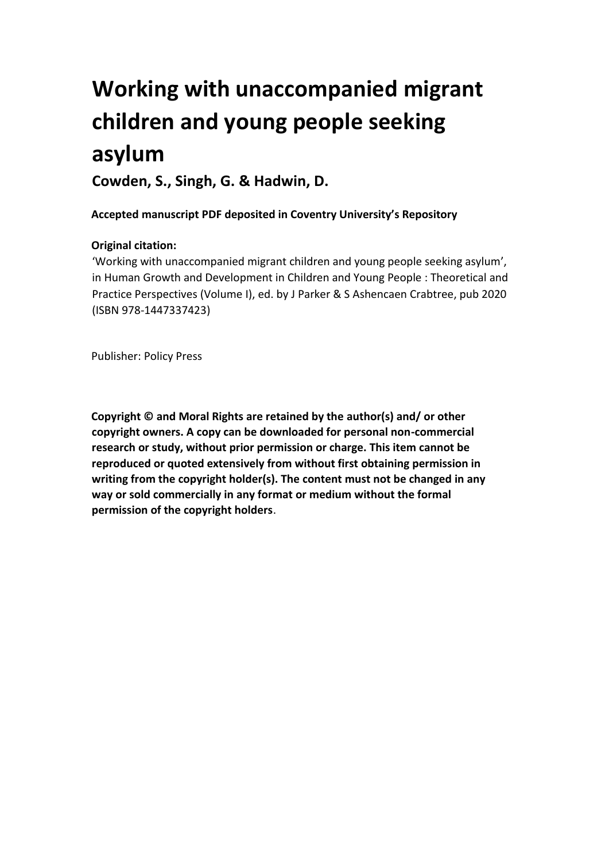# **Working with unaccompanied migrant children and young people seeking asylum**

**Cowden, S., Singh, G. & Hadwin, D.**

**Accepted manuscript PDF deposited in Coventry University's Repository** 

# **Original citation:**

'Working with unaccompanied migrant children and young people seeking asylum', in Human Growth and Development in Children and Young People : Theoretical and Practice Perspectives (Volume I), ed. by J Parker & S Ashencaen Crabtree, pub 2020 (ISBN 978-1447337423)

Publisher: Policy Press

**Copyright © and Moral Rights are retained by the author(s) and/ or other copyright owners. A copy can be downloaded for personal non-commercial research or study, without prior permission or charge. This item cannot be reproduced or quoted extensively from without first obtaining permission in writing from the copyright holder(s). The content must not be changed in any way or sold commercially in any format or medium without the formal permission of the copyright holders**.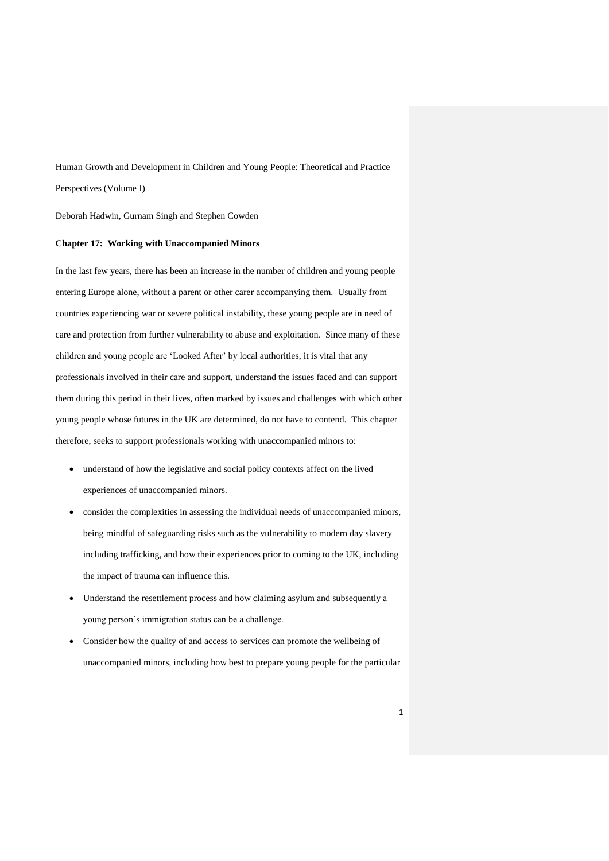Human Growth and Development in Children and Young People: Theoretical and Practice Perspectives (Volume I)

Deborah Hadwin, Gurnam Singh and Stephen Cowden

# **Chapter 17: Working with Unaccompanied Minors**

In the last few years, there has been an increase in the number of children and young people entering Europe alone, without a parent or other carer accompanying them. Usually from countries experiencing war or severe political instability, these young people are in need of care and protection from further vulnerability to abuse and exploitation. Since many of these children and young people are 'Looked After' by local authorities, it is vital that any professionals involved in their care and support, understand the issues faced and can support them during this period in their lives, often marked by issues and challenges with which other young people whose futures in the UK are determined, do not have to contend. This chapter therefore, seeks to support professionals working with unaccompanied minors to:

- understand of how the legislative and social policy contexts affect on the lived experiences of unaccompanied minors.
- consider the complexities in assessing the individual needs of unaccompanied minors, being mindful of safeguarding risks such as the vulnerability to modern day slavery including trafficking, and how their experiences prior to coming to the UK, including the impact of trauma can influence this.
- Understand the resettlement process and how claiming asylum and subsequently a young person's immigration status can be a challenge.
- Consider how the quality of and access to services can promote the wellbeing of unaccompanied minors, including how best to prepare young people for the particular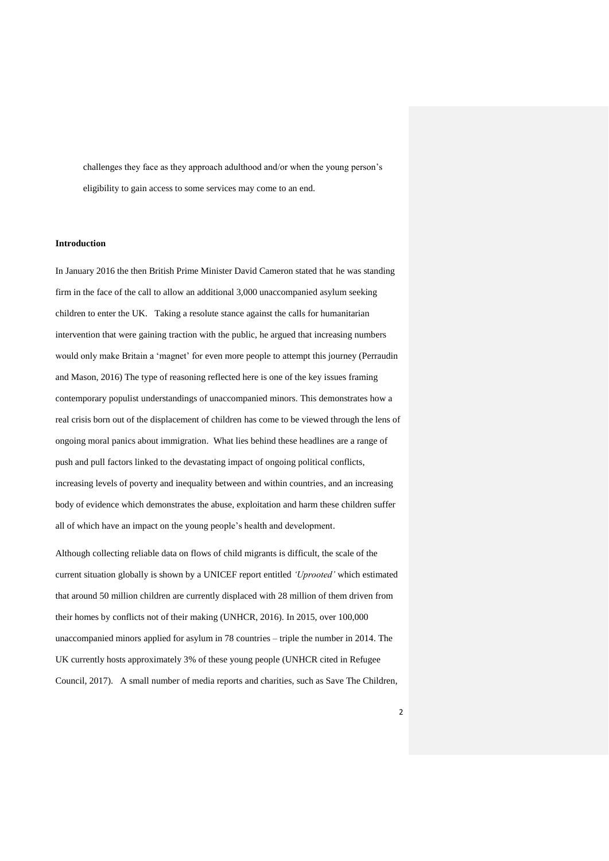challenges they face as they approach adulthood and/or when the young person's eligibility to gain access to some services may come to an end.

## **Introduction**

In January 2016 the then British Prime Minister David Cameron stated that he was standing firm in the face of the call to allow an additional 3,000 unaccompanied asylum seeking children to enter the UK. Taking a resolute stance against the calls for humanitarian intervention that were gaining traction with the public, he argued that increasing numbers would only make Britain a 'magnet' for even more people to attempt this journey (Perraudin and Mason, 2016) The type of reasoning reflected here is one of the key issues framing contemporary populist understandings of unaccompanied minors. This demonstrates how a real crisis born out of the displacement of children has come to be viewed through the lens of ongoing moral panics about immigration. What lies behind these headlines are a range of push and pull factors linked to the devastating impact of ongoing political conflicts, increasing levels of poverty and inequality between and within countries, and an increasing body of evidence which demonstrates the abuse, exploitation and harm these children suffer all of which have an impact on the young people's health and development.

Although collecting reliable data on flows of child migrants is difficult, the scale of the current situation globally is shown by a UNICEF report entitled *'Uprooted'* which estimated that around 50 million children are currently displaced with 28 million of them driven from their homes by conflicts not of their making (UNHCR, 2016). In 2015, over 100,000 unaccompanied minors applied for asylum in 78 countries – triple the number in 2014. The UK currently hosts approximately 3% of these young people (UNHCR cited in Refugee Council, 2017). A small number of media reports and charities, such as Save The Children,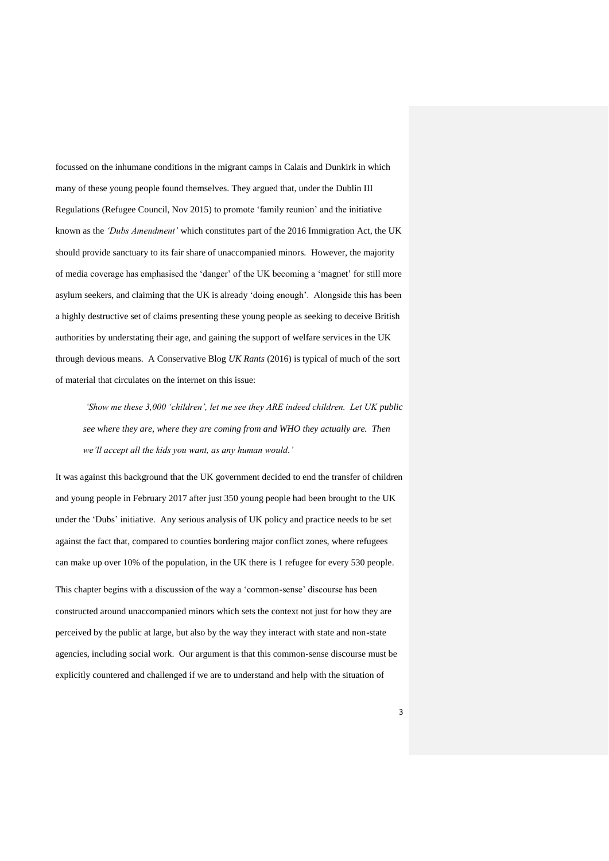focussed on the inhumane conditions in the migrant camps in Calais and Dunkirk in which many of these young people found themselves. They argued that, under the Dublin III Regulations (Refugee Council, Nov 2015) to promote 'family reunion' and the initiative known as the *'Dubs Amendment'* which constitutes part of the 2016 Immigration Act, the UK should provide sanctuary to its fair share of unaccompanied minors. However, the majority of media coverage has emphasised the 'danger' of the UK becoming a 'magnet' for still more asylum seekers, and claiming that the UK is already 'doing enough'. Alongside this has been a highly destructive set of claims presenting these young people as seeking to deceive British authorities by understating their age, and gaining the support of welfare services in the UK through devious means. A Conservative Blog *UK Rants* (2016) is typical of much of the sort of material that circulates on the internet on this issue:

*'Show me these 3,000 'children', let me see they ARE indeed children. Let UK public see where they are, where they are coming from and WHO they actually are. Then we'll accept all the kids you want, as any human would.'*

It was against this background that the UK government decided to end the transfer of children and young people in February 2017 after just 350 young people had been brought to the UK under the 'Dubs' initiative. Any serious analysis of UK policy and practice needs to be set against the fact that, compared to counties bordering major conflict zones, where refugees can make up over 10% of the population, in the UK there is 1 refugee for every 530 people.

This chapter begins with a discussion of the way a 'common-sense' discourse has been constructed around unaccompanied minors which sets the context not just for how they are perceived by the public at large, but also by the way they interact with state and non-state agencies, including social work. Our argument is that this common-sense discourse must be explicitly countered and challenged if we are to understand and help with the situation of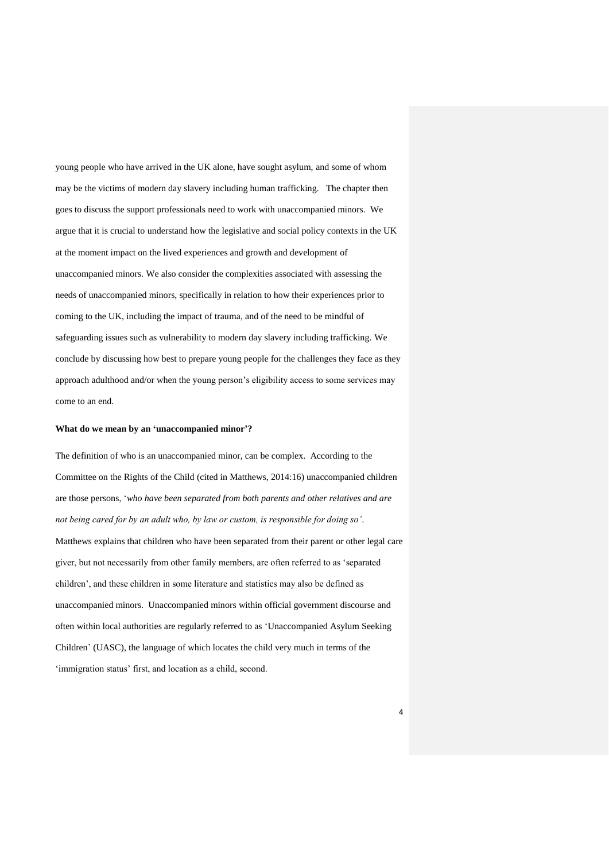young people who have arrived in the UK alone, have sought asylum, and some of whom may be the victims of modern day slavery including human trafficking. The chapter then goes to discuss the support professionals need to work with unaccompanied minors. We argue that it is crucial to understand how the legislative and social policy contexts in the UK at the moment impact on the lived experiences and growth and development of unaccompanied minors. We also consider the complexities associated with assessing the needs of unaccompanied minors, specifically in relation to how their experiences prior to coming to the UK, including the impact of trauma, and of the need to be mindful of safeguarding issues such as vulnerability to modern day slavery including trafficking. We conclude by discussing how best to prepare young people for the challenges they face as they approach adulthood and/or when the young person's eligibility access to some services may come to an end.

## **What do we mean by an 'unaccompanied minor'?**

The definition of who is an unaccompanied minor, can be complex. According to the Committee on the Rights of the Child (cited in Matthews, 2014:16) unaccompanied children are those persons, '*who have been separated from both parents and other relatives and are not being cared for by an adult who, by law or custom, is responsible for doing so'.* Matthews explains that children who have been separated from their parent or other legal care giver, but not necessarily from other family members, are often referred to as 'separated children', and these children in some literature and statistics may also be defined as unaccompanied minors. Unaccompanied minors within official government discourse and often within local authorities are regularly referred to as 'Unaccompanied Asylum Seeking Children' (UASC), the language of which locates the child very much in terms of the 'immigration status' first, and location as a child, second.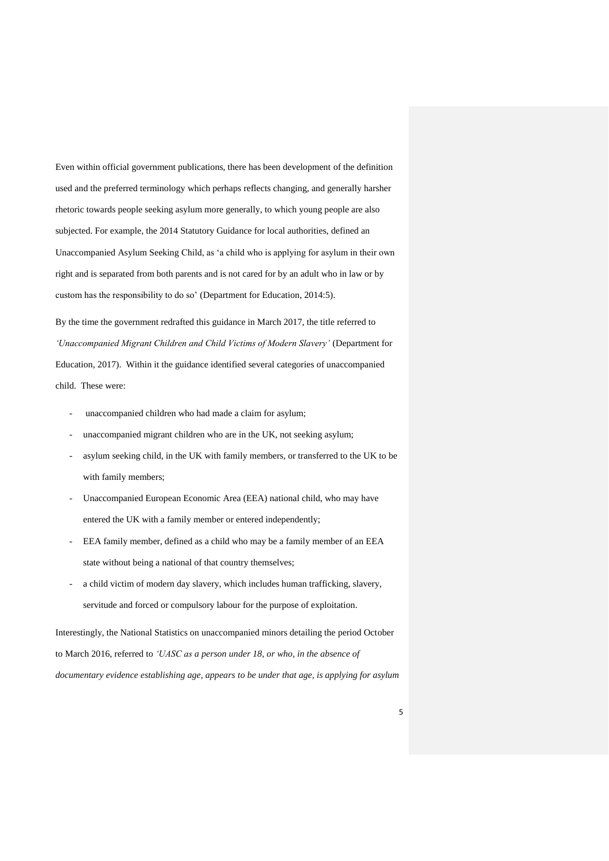Even within official government publications, there has been development of the definition used and the preferred terminology which perhaps reflects changing, and generally harsher rhetoric towards people seeking asylum more generally, to which young people are also subjected. For example, the 2014 Statutory Guidance for local authorities, defined an Unaccompanied Asylum Seeking Child, as 'a child who is applying for asylum in their own right and is separated from both parents and is not cared for by an adult who in law or by custom has the responsibility to do so' (Department for Education, 2014:5).

By the time the government redrafted this guidance in March 2017, the title referred to *'Unaccompanied Migrant Children and Child Victims of Modern Slavery'* (Department for Education, 2017). Within it the guidance identified several categories of unaccompanied child. These were:

- unaccompanied children who had made a claim for asylum;
- unaccompanied migrant children who are in the UK, not seeking asylum;
- asylum seeking child, in the UK with family members, or transferred to the UK to be with family members;
- Unaccompanied European Economic Area (EEA) national child, who may have entered the UK with a family member or entered independently;
- EEA family member, defined as a child who may be a family member of an EEA state without being a national of that country themselves;
- a child victim of modern day slavery, which includes human trafficking, slavery, servitude and forced or compulsory labour for the purpose of exploitation.

Interestingly, the National Statistics on unaccompanied minors detailing the period October to March 2016, referred to *'UASC as a person under 18, or who, in the absence of documentary evidence establishing age, appears to be under that age, is applying for asylum*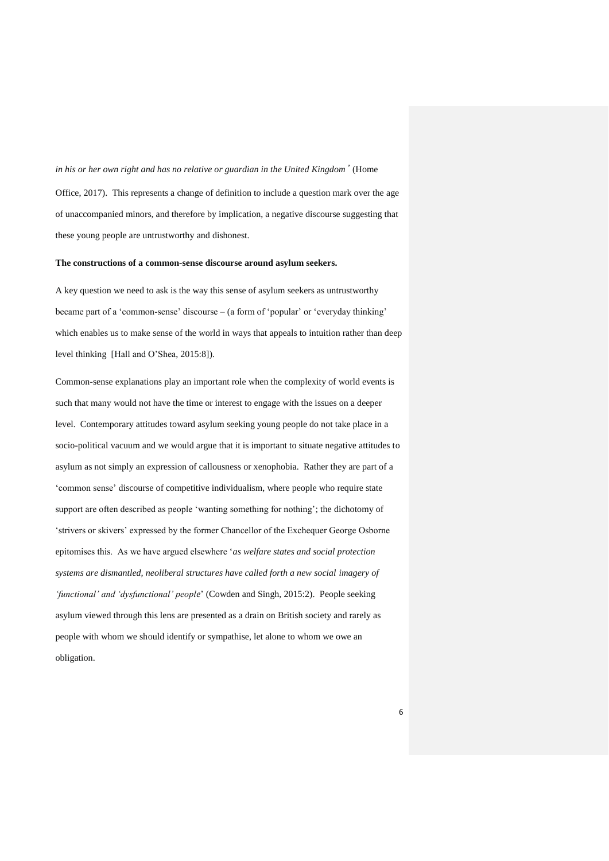*in his or her own right and has no relative or guardian in the United Kingdom'* (Home Office, 2017). This represents a change of definition to include a question mark over the age of unaccompanied minors, and therefore by implication, a negative discourse suggesting that these young people are untrustworthy and dishonest.

#### **The constructions of a common-sense discourse around asylum seekers.**

A key question we need to ask is the way this sense of asylum seekers as untrustworthy became part of a 'common-sense' discourse – (a form of 'popular' or 'everyday thinking' which enables us to make sense of the world in ways that appeals to intuition rather than deep level thinking [Hall and O'Shea, 2015:8]).

Common-sense explanations play an important role when the complexity of world events is such that many would not have the time or interest to engage with the issues on a deeper level. Contemporary attitudes toward asylum seeking young people do not take place in a socio-political vacuum and we would argue that it is important to situate negative attitudes to asylum as not simply an expression of callousness or xenophobia. Rather they are part of a 'common sense' discourse of competitive individualism, where people who require state support are often described as people 'wanting something for nothing'; the dichotomy of 'strivers or skivers' expressed by the former Chancellor of the Exchequer George Osborne epitomises this. As we have argued elsewhere '*as welfare states and social protection systems are dismantled, neoliberal structures have called forth a new social imagery of 'functional' and 'dysfunctional' people*' (Cowden and Singh, 2015:2). People seeking asylum viewed through this lens are presented as a drain on British society and rarely as people with whom we should identify or sympathise, let alone to whom we owe an obligation.

6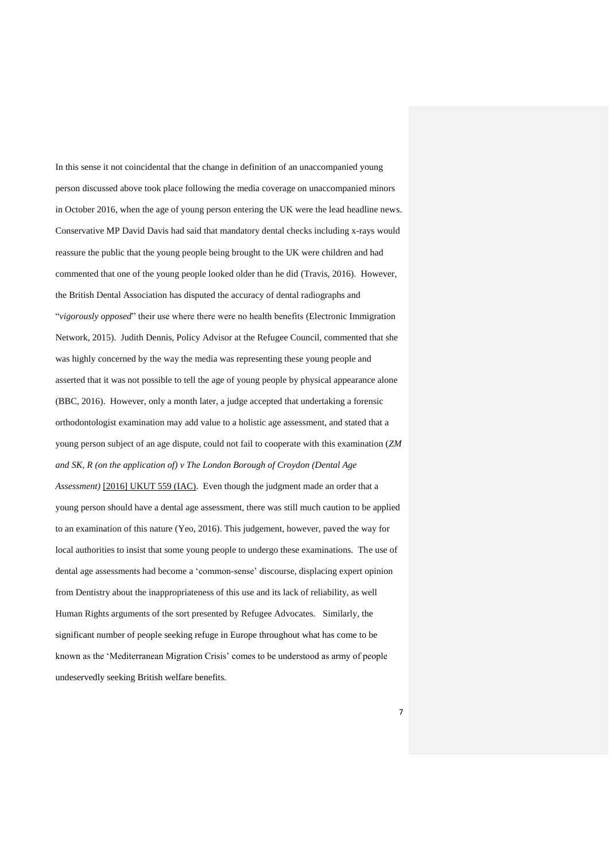In this sense it not coincidental that the change in definition of an unaccompanied young person discussed above took place following the media coverage on unaccompanied minors in October 2016, when the age of young person entering the UK were the lead headline news. Conservative MP David Davis had said that mandatory dental checks including x-rays would reassure the public that the young people being brought to the UK were children and had commented that one of the young people looked older than he did (Travis, 2016). However, the British Dental Association has disputed the accuracy of dental radiographs and "*vigorously opposed*" their use where there were no health benefits (Electronic Immigration Network, 2015). Judith Dennis, Policy Advisor at the Refugee Council, commented that she was highly concerned by the way the media was representing these young people and asserted that it was not possible to tell the age of young people by physical appearance alone (BBC, 2016). However, only a month later, a judge accepted that undertaking a forensic orthodontologist examination may add value to a holistic age assessment, and stated that a young person subject of an age dispute, could not fail to cooperate with this examination (*ZM and SK, R (on the application of) v The London Borough of Croydon (Dental Age Assessment)* [2016] UKUT 559 (IAC). Even though the judgment made an order that a young person should have a dental age assessment, there was still much caution to be applied to an examination of this nature (Yeo, 2016). This judgement, however, paved the way for local authorities to insist that some young people to undergo these examinations. The use of dental age assessments had become a 'common-sense' discourse, displacing expert opinion from Dentistry about the inappropriateness of this use and its lack of reliability, as well Human Rights arguments of the sort presented by Refugee Advocates. Similarly, the significant number of people seeking refuge in Europe throughout what has come to be known as the 'Mediterranean Migration Crisis' comes to be understood as army of people undeservedly seeking British welfare benefits.

7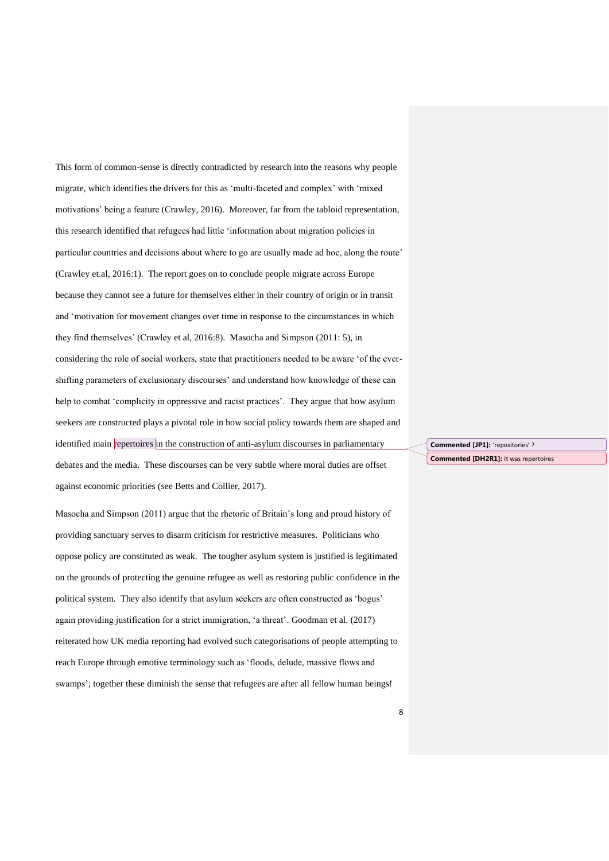This form of common-sense is directly contradicted by research into the reasons why people migrate, which identifies the drivers for this as 'multi-faceted and complex' with 'mixed motivations' being a feature (Crawley, 2016). Moreover, far from the tabloid representation, this research identified that refugees had little 'information about migration policies in particular countries and decisions about where to go are usually made ad hoc, along the route' (Crawley et.al, 2016:1). The report goes on to conclude people migrate across Europe because they cannot see a future for themselves either in their country of origin or in transit and 'motivation for movement changes over time in response to the circumstances in which they find themselves' (Crawley et al, 2016:8). Masocha and Simpson (2011: 5), in considering the role of social workers, state that practitioners needed to be aware 'of the evershifting parameters of exclusionary discourses' and understand how knowledge of these can help to combat 'complicity in oppressive and racist practices'. They argue that how asylum seekers are constructed plays a pivotal role in how social policy towards them are shaped and identified main repertoires in the construction of anti-asylum discourses in parliamentary debates and the media. These discourses can be very subtle where moral duties are offset against economic priorities (see Betts and Collier, 2017).

Masocha and Simpson (2011) argue that the rhetoric of Britain's long and proud history of providing sanctuary serves to disarm criticism for restrictive measures. Politicians who oppose policy are constituted as weak. The tougher asylum system is justified is legitimated on the grounds of protecting the genuine refugee as well as restoring public confidence in the political system. They also identify that asylum seekers are often constructed as 'bogus' again providing justification for a strict immigration, 'a threat'. Goodman et al. (2017) reiterated how UK media reporting had evolved such categorisations of people attempting to reach Europe through emotive terminology such as 'floods, delude, massive flows and swamps'; together these diminish the sense that refugees are after all fellow human beings!

**Commented [JP1]:** 'repositories' ? **Commented [DH2R1]:** It was repertoires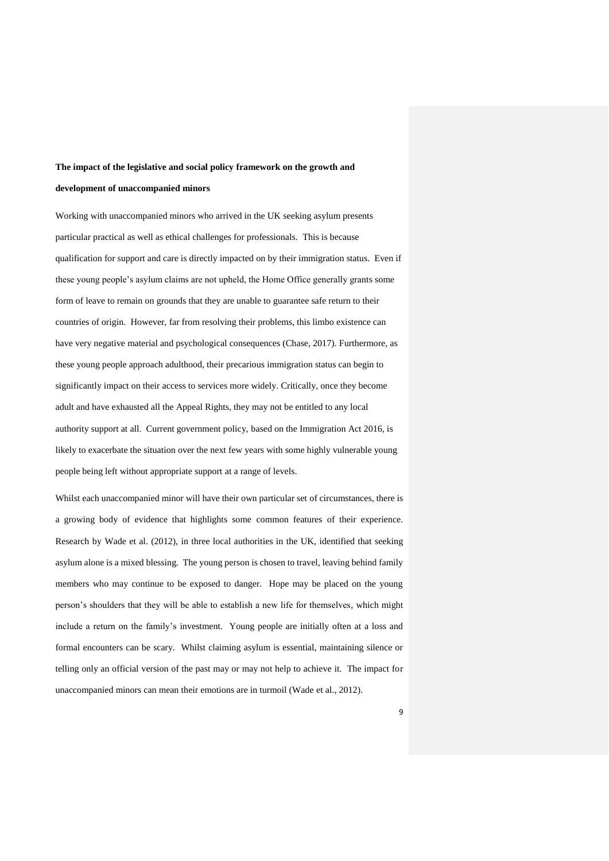# **The impact of the legislative and social policy framework on the growth and development of unaccompanied minors**

Working with unaccompanied minors who arrived in the UK seeking asylum presents particular practical as well as ethical challenges for professionals. This is because qualification for support and care is directly impacted on by their immigration status. Even if these young people's asylum claims are not upheld, the Home Office generally grants some form of leave to remain on grounds that they are unable to guarantee safe return to their countries of origin. However, far from resolving their problems, this limbo existence can have very negative material and psychological consequences (Chase, 2017). Furthermore, as these young people approach adulthood, their precarious immigration status can begin to significantly impact on their access to services more widely. Critically, once they become adult and have exhausted all the Appeal Rights, they may not be entitled to any local authority support at all. Current government policy, based on the Immigration Act 2016, is likely to exacerbate the situation over the next few years with some highly vulnerable young people being left without appropriate support at a range of levels.

Whilst each unaccompanied minor will have their own particular set of circumstances, there is a growing body of evidence that highlights some common features of their experience. Research by Wade et al. (2012), in three local authorities in the UK, identified that seeking asylum alone is a mixed blessing. The young person is chosen to travel, leaving behind family members who may continue to be exposed to danger. Hope may be placed on the young person's shoulders that they will be able to establish a new life for themselves, which might include a return on the family's investment. Young people are initially often at a loss and formal encounters can be scary. Whilst claiming asylum is essential, maintaining silence or telling only an official version of the past may or may not help to achieve it. The impact for unaccompanied minors can mean their emotions are in turmoil (Wade et al., 2012).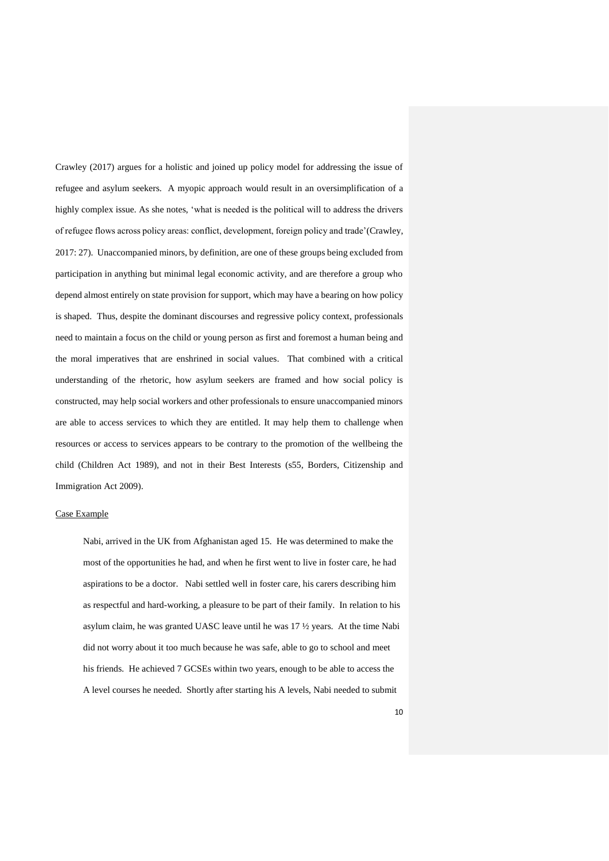Crawley (2017) argues for a holistic and joined up policy model for addressing the issue of refugee and asylum seekers. A myopic approach would result in an oversimplification of a highly complex issue. As she notes, 'what is needed is the political will to address the drivers of refugee flows across policy areas: conflict, development, foreign policy and trade'(Crawley, 2017: 27). Unaccompanied minors, by definition, are one of these groups being excluded from participation in anything but minimal legal economic activity, and are therefore a group who depend almost entirely on state provision for support, which may have a bearing on how policy is shaped. Thus, despite the dominant discourses and regressive policy context, professionals need to maintain a focus on the child or young person as first and foremost a human being and the moral imperatives that are enshrined in social values. That combined with a critical understanding of the rhetoric, how asylum seekers are framed and how social policy is constructed, may help social workers and other professionals to ensure unaccompanied minors are able to access services to which they are entitled. It may help them to challenge when resources or access to services appears to be contrary to the promotion of the wellbeing the child (Children Act 1989), and not in their Best Interests (s55, Borders, Citizenship and Immigration Act 2009).

# Case Example

Nabi, arrived in the UK from Afghanistan aged 15. He was determined to make the most of the opportunities he had, and when he first went to live in foster care, he had aspirations to be a doctor. Nabi settled well in foster care, his carers describing him as respectful and hard-working, a pleasure to be part of their family. In relation to his asylum claim, he was granted UASC leave until he was 17 ½ years. At the time Nabi did not worry about it too much because he was safe, able to go to school and meet his friends. He achieved 7 GCSEs within two years, enough to be able to access the A level courses he needed. Shortly after starting his A levels, Nabi needed to submit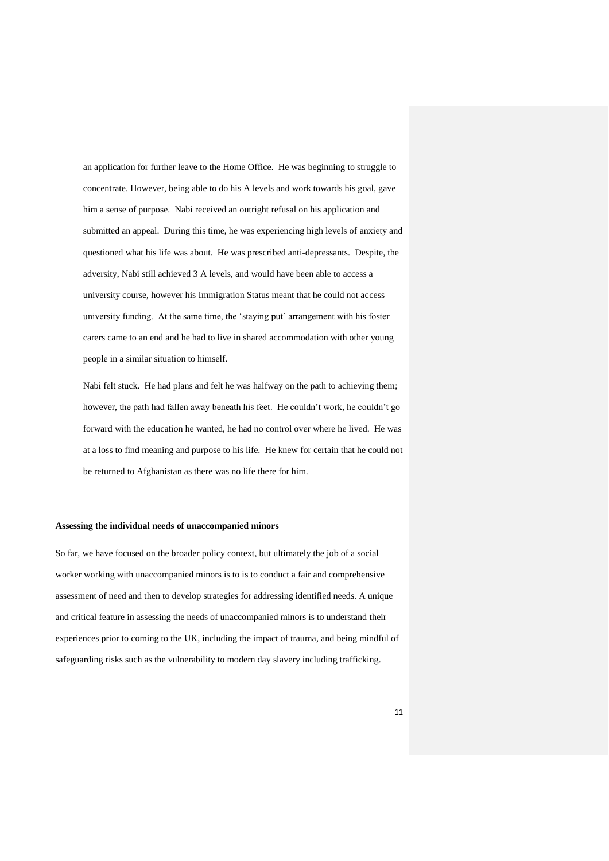an application for further leave to the Home Office. He was beginning to struggle to concentrate. However, being able to do his A levels and work towards his goal, gave him a sense of purpose. Nabi received an outright refusal on his application and submitted an appeal. During this time, he was experiencing high levels of anxiety and questioned what his life was about. He was prescribed anti-depressants. Despite, the adversity, Nabi still achieved 3 A levels, and would have been able to access a university course, however his Immigration Status meant that he could not access university funding. At the same time, the 'staying put' arrangement with his foster carers came to an end and he had to live in shared accommodation with other young people in a similar situation to himself.

Nabi felt stuck. He had plans and felt he was halfway on the path to achieving them; however, the path had fallen away beneath his feet. He couldn't work, he couldn't go forward with the education he wanted, he had no control over where he lived. He was at a loss to find meaning and purpose to his life. He knew for certain that he could not be returned to Afghanistan as there was no life there for him.

#### **Assessing the individual needs of unaccompanied minors**

So far, we have focused on the broader policy context, but ultimately the job of a social worker working with unaccompanied minors is to is to conduct a fair and comprehensive assessment of need and then to develop strategies for addressing identified needs. A unique and critical feature in assessing the needs of unaccompanied minors is to understand their experiences prior to coming to the UK, including the impact of trauma, and being mindful of safeguarding risks such as the vulnerability to modern day slavery including trafficking.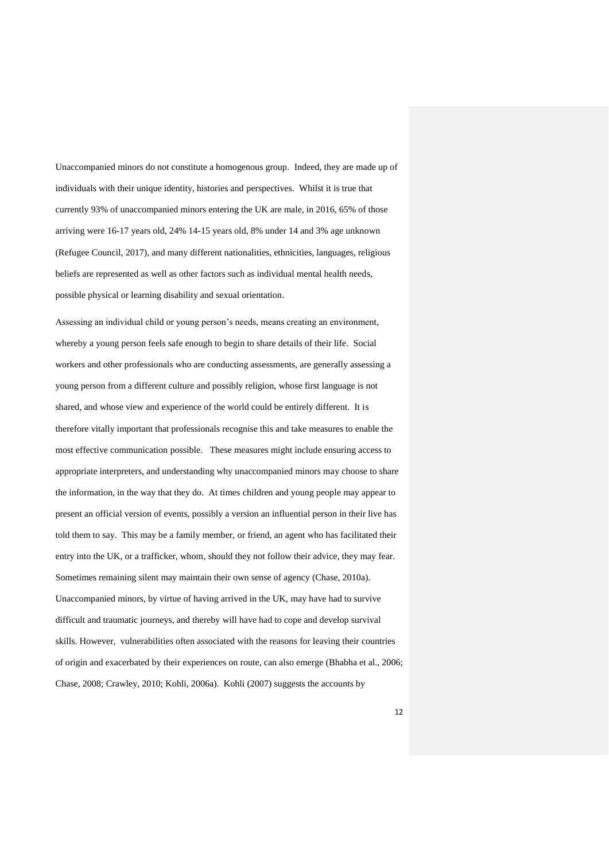Unaccompanied minors do not constitute a homogenous group. Indeed, they are made up of individuals with their unique identity, histories and perspectives. Whilst it is true that currently 93% of unaccompanied minors entering the UK are male, in 2016, 65% of those arriving were 16-17 years old, 24% 14-15 years old, 8% under 14 and 3% age unknown (Refugee Council, 2017), and many different nationalities, ethnicities, languages, religious beliefs are represented as well as other factors such as individual mental health needs, possible physical or learning disability and sexual orientation.

Assessing an individual child or young person's needs, means creating an environment, whereby a young person feels safe enough to begin to share details of their life. Social workers and other professionals who are conducting assessments, are generally assessing a young person from a different culture and possibly religion, whose first language is not shared, and whose view and experience of the world could be entirely different. It is therefore vitally important that professionals recognise this and take measures to enable the most effective communication possible. These measures might include ensuring access to appropriate interpreters, and understanding why unaccompanied minors may choose to share the information, in the way that they do. At times children and young people may appear to present an official version of events, possibly a version an influential person in their live has told them to say. This may be a family member, or friend, an agent who has facilitated their entry into the UK, or a trafficker, whom, should they not follow their advice, they may fear. Sometimes remaining silent may maintain their own sense of agency (Chase, 2010a). Unaccompanied minors, by virtue of having arrived in the UK, may have had to survive difficult and traumatic journeys, and thereby will have had to cope and develop survival skills. However, vulnerabilities often associated with the reasons for leaving their countries of origin and exacerbated by their experiences on route, can also emerge (Bhabha et al., 2006; Chase, 2008; Crawley, 2010; Kohli, 2006a). Kohli (2007) suggests the accounts by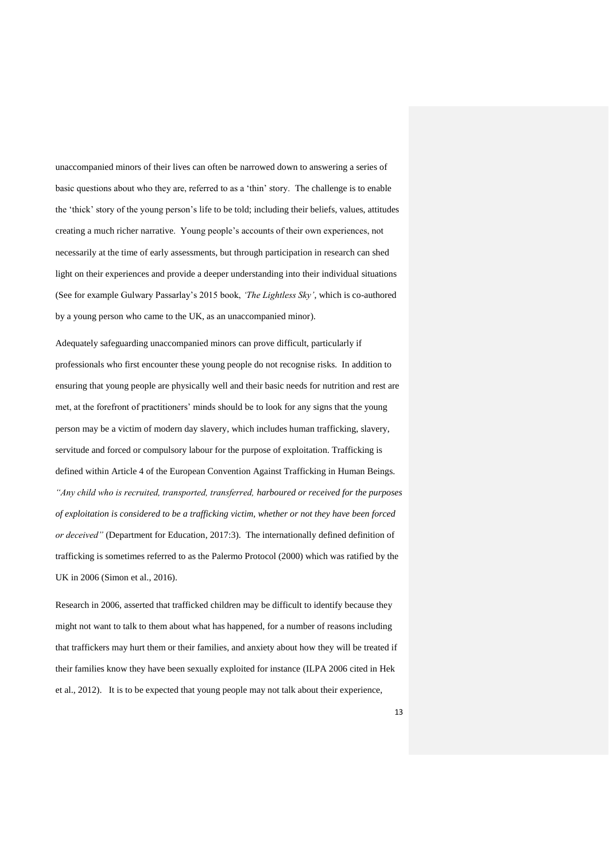unaccompanied minors of their lives can often be narrowed down to answering a series of basic questions about who they are, referred to as a 'thin' story. The challenge is to enable the 'thick' story of the young person's life to be told; including their beliefs, values, attitudes creating a much richer narrative. Young people's accounts of their own experiences, not necessarily at the time of early assessments, but through participation in research can shed light on their experiences and provide a deeper understanding into their individual situations (See for example Gulwary Passarlay's 2015 book, *'The Lightless Sky'*, which is co-authored by a young person who came to the UK, as an unaccompanied minor).

Adequately safeguarding unaccompanied minors can prove difficult, particularly if professionals who first encounter these young people do not recognise risks. In addition to ensuring that young people are physically well and their basic needs for nutrition and rest are met, at the forefront of practitioners' minds should be to look for any signs that the young person may be a victim of modern day slavery, which includes human trafficking, slavery, servitude and forced or compulsory labour for the purpose of exploitation. Trafficking is defined within Article 4 of the European Convention Against Trafficking in Human Beings. *"Any child who is recruited, transported, transferred, harboured or received for the purposes of exploitation is considered to be a trafficking victim, whether or not they have been forced or deceived"* (Department for Education, 2017:3). The internationally defined definition of trafficking is sometimes referred to as the Palermo Protocol (2000) which was ratified by the UK in 2006 (Simon et al., 2016).

Research in 2006, asserted that trafficked children may be difficult to identify because they might not want to talk to them about what has happened, for a number of reasons including that traffickers may hurt them or their families, and anxiety about how they will be treated if their families know they have been sexually exploited for instance (ILPA 2006 cited in Hek et al., 2012). It is to be expected that young people may not talk about their experience,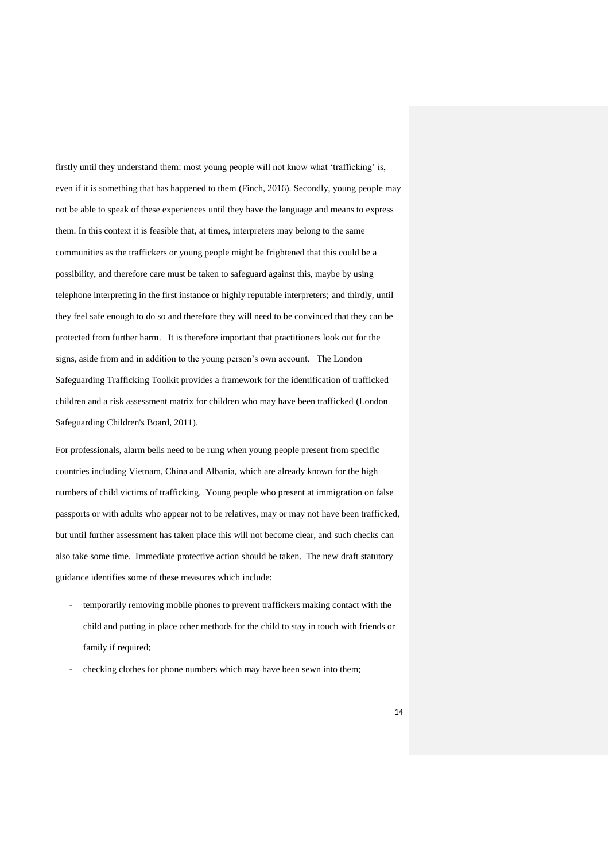firstly until they understand them: most young people will not know what 'trafficking' is, even if it is something that has happened to them (Finch, 2016). Secondly, young people may not be able to speak of these experiences until they have the language and means to express them. In this context it is feasible that, at times, interpreters may belong to the same communities as the traffickers or young people might be frightened that this could be a possibility, and therefore care must be taken to safeguard against this, maybe by using telephone interpreting in the first instance or highly reputable interpreters; and thirdly, until they feel safe enough to do so and therefore they will need to be convinced that they can be protected from further harm. It is therefore important that practitioners look out for the signs, aside from and in addition to the young person's own account. The London Safeguarding Trafficking Toolkit provides a framework for the identification of trafficked children and a risk assessment matrix for children who may have been trafficked (London Safeguarding Children's Board, 2011).

For professionals, alarm bells need to be rung when young people present from specific countries including Vietnam, China and Albania, which are already known for the high numbers of child victims of trafficking. Young people who present at immigration on false passports or with adults who appear not to be relatives, may or may not have been trafficked, but until further assessment has taken place this will not become clear, and such checks can also take some time. Immediate protective action should be taken. The new draft statutory guidance identifies some of these measures which include:

- temporarily removing mobile phones to prevent traffickers making contact with the child and putting in place other methods for the child to stay in touch with friends or family if required;
- checking clothes for phone numbers which may have been sewn into them;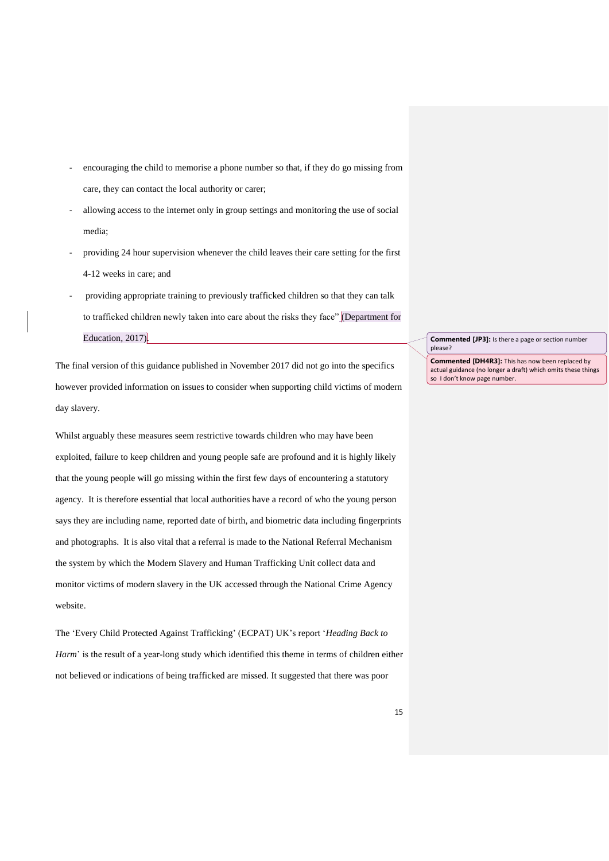- encouraging the child to memorise a phone number so that, if they do go missing from care, they can contact the local authority or carer;
- allowing access to the internet only in group settings and monitoring the use of social media;
- providing 24 hour supervision whenever the child leaves their care setting for the first 4-12 weeks in care; and
- providing appropriate training to previously trafficked children so that they can talk to trafficked children newly taken into care about the risks they face" (Department for Education, 2017).

The final version of this guidance published in November 2017 did not go into the specifics however provided information on issues to consider when supporting child victims of modern day slavery.

Whilst arguably these measures seem restrictive towards children who may have been exploited, failure to keep children and young people safe are profound and it is highly likely that the young people will go missing within the first few days of encountering a statutory agency. It is therefore essential that local authorities have a record of who the young person says they are including name, reported date of birth, and biometric data including fingerprints and photographs. It is also vital that a referral is made to the National Referral Mechanism the system by which the Modern Slavery and Human Trafficking Unit collect data and monitor victims of modern slavery in the UK accessed through the National Crime Agency website.

The 'Every Child Protected Against Trafficking' (ECPAT) UK's report '*Heading Back to Harm*' is the result of a year-long study which identified this theme in terms of children either not believed or indications of being trafficked are missed. It suggested that there was poor

**Commented [JP3]:** Is there a page or section number please?

**Commented [DH4R3]:** This has now been replaced by actual guidance (no longer a draft) which omits these things so I don't know page number.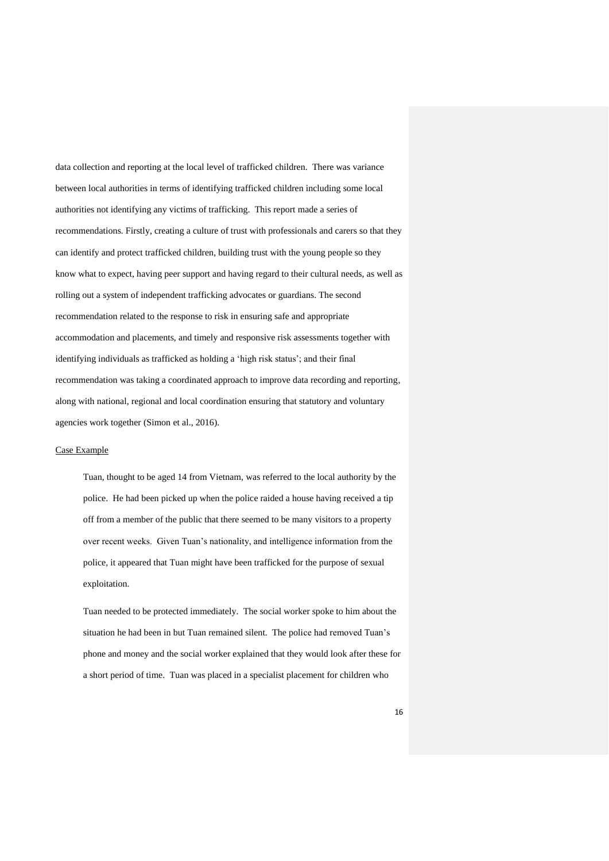data collection and reporting at the local level of trafficked children. There was variance between local authorities in terms of identifying trafficked children including some local authorities not identifying any victims of trafficking. This report made a series of recommendations. Firstly, creating a culture of trust with professionals and carers so that they can identify and protect trafficked children, building trust with the young people so they know what to expect, having peer support and having regard to their cultural needs, as well as rolling out a system of independent trafficking advocates or guardians. The second recommendation related to the response to risk in ensuring safe and appropriate accommodation and placements, and timely and responsive risk assessments together with identifying individuals as trafficked as holding a 'high risk status'; and their final recommendation was taking a coordinated approach to improve data recording and reporting, along with national, regional and local coordination ensuring that statutory and voluntary agencies work together (Simon et al., 2016).

#### Case Example

Tuan, thought to be aged 14 from Vietnam, was referred to the local authority by the police. He had been picked up when the police raided a house having received a tip off from a member of the public that there seemed to be many visitors to a property over recent weeks. Given Tuan's nationality, and intelligence information from the police, it appeared that Tuan might have been trafficked for the purpose of sexual exploitation.

Tuan needed to be protected immediately. The social worker spoke to him about the situation he had been in but Tuan remained silent. The police had removed Tuan's phone and money and the social worker explained that they would look after these for a short period of time. Tuan was placed in a specialist placement for children who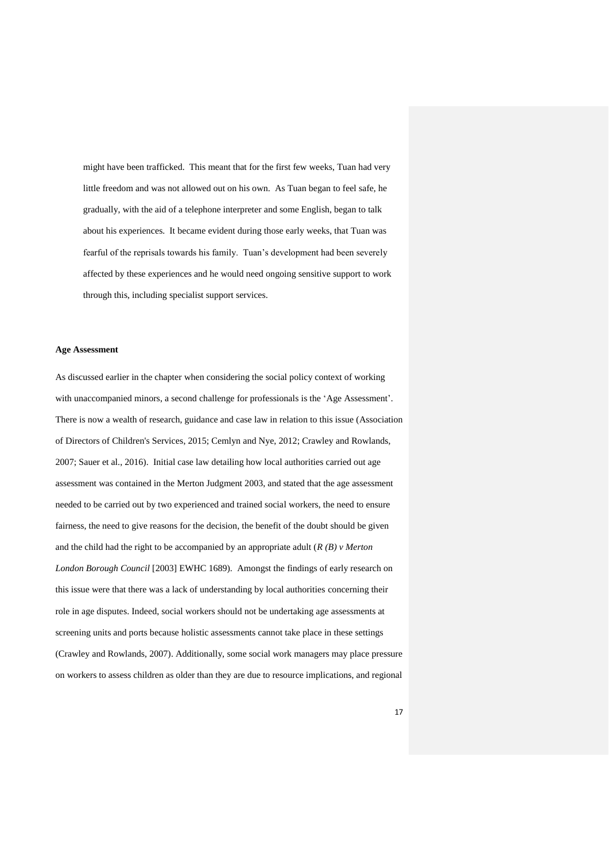might have been trafficked. This meant that for the first few weeks, Tuan had very little freedom and was not allowed out on his own. As Tuan began to feel safe, he gradually, with the aid of a telephone interpreter and some English, began to talk about his experiences. It became evident during those early weeks, that Tuan was fearful of the reprisals towards his family. Tuan's development had been severely affected by these experiences and he would need ongoing sensitive support to work through this, including specialist support services.

#### **Age Assessment**

As discussed earlier in the chapter when considering the social policy context of working with unaccompanied minors, a second challenge for professionals is the 'Age Assessment'. There is now a wealth of research, guidance and case law in relation to this issue (Association of Directors of Children's Services, 2015; Cemlyn and Nye, 2012; Crawley and Rowlands, 2007; Sauer et al., 2016). Initial case law detailing how local authorities carried out age assessment was contained in the Merton Judgment 2003, and stated that the age assessment needed to be carried out by two experienced and trained social workers, the need to ensure fairness, the need to give reasons for the decision, the benefit of the doubt should be given and the child had the right to be accompanied by an appropriate adult (*R (B) v Merton London Borough Council* [2003] EWHC 1689). Amongst the findings of early research on this issue were that there was a lack of understanding by local authorities concerning their role in age disputes. Indeed, social workers should not be undertaking age assessments at screening units and ports because holistic assessments cannot take place in these settings (Crawley and Rowlands, 2007). Additionally, some social work managers may place pressure on workers to assess children as older than they are due to resource implications, and regional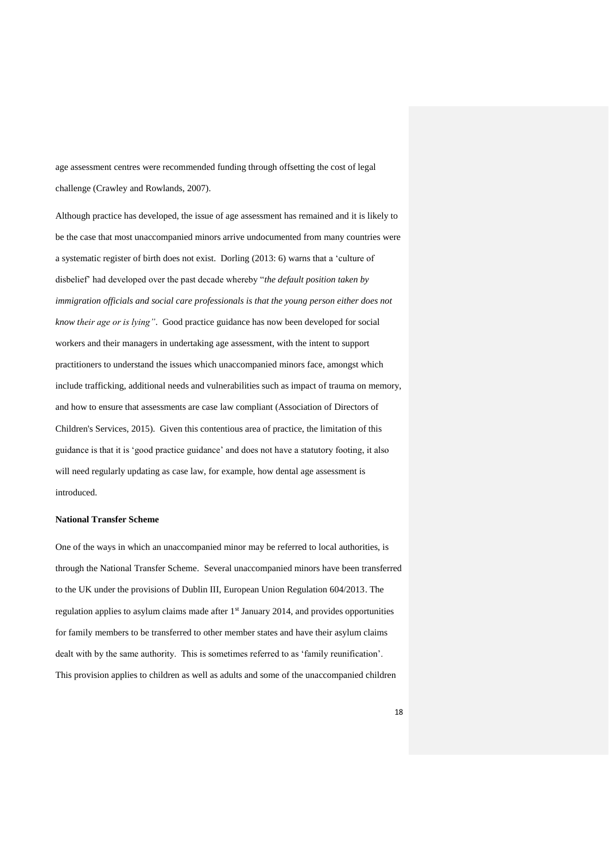age assessment centres were recommended funding through offsetting the cost of legal challenge (Crawley and Rowlands, 2007).

Although practice has developed, the issue of age assessment has remained and it is likely to be the case that most unaccompanied minors arrive undocumented from many countries were a systematic register of birth does not exist. Dorling (2013: 6) warns that a 'culture of disbelief' had developed over the past decade whereby "*the default position taken by immigration officials and social care professionals is that the young person either does not know their age or is lying"*. Good practice guidance has now been developed for social workers and their managers in undertaking age assessment, with the intent to support practitioners to understand the issues which unaccompanied minors face, amongst which include trafficking, additional needs and vulnerabilities such as impact of trauma on memory, and how to ensure that assessments are case law compliant (Association of Directors of Children's Services, 2015). Given this contentious area of practice, the limitation of this guidance is that it is 'good practice guidance' and does not have a statutory footing, it also will need regularly updating as case law, for example, how dental age assessment is introduced.

# **National Transfer Scheme**

One of the ways in which an unaccompanied minor may be referred to local authorities, is through the National Transfer Scheme. Several unaccompanied minors have been transferred to the UK under the provisions of Dublin III, European Union Regulation 604/2013. The regulation applies to asylum claims made after 1<sup>st</sup> January 2014, and provides opportunities for family members to be transferred to other member states and have their asylum claims dealt with by the same authority. This is sometimes referred to as 'family reunification'. This provision applies to children as well as adults and some of the unaccompanied children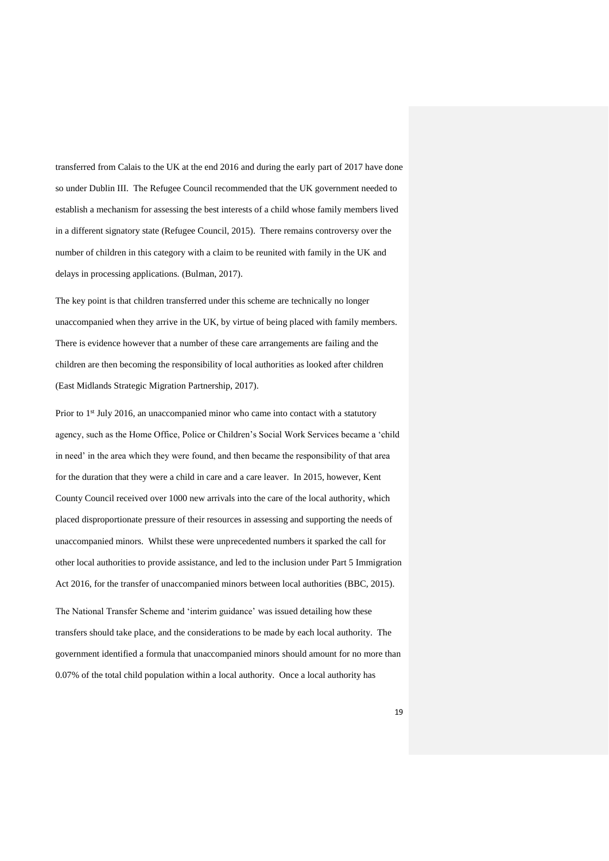transferred from Calais to the UK at the end 2016 and during the early part of 2017 have done so under Dublin III. The Refugee Council recommended that the UK government needed to establish a mechanism for assessing the best interests of a child whose family members lived in a different signatory state (Refugee Council, 2015). There remains controversy over the number of children in this category with a claim to be reunited with family in the UK and delays in processing applications. (Bulman, 2017).

The key point is that children transferred under this scheme are technically no longer unaccompanied when they arrive in the UK, by virtue of being placed with family members. There is evidence however that a number of these care arrangements are failing and the children are then becoming the responsibility of local authorities as looked after children (East Midlands Strategic Migration Partnership, 2017).

Prior to  $1<sup>st</sup>$  July 2016, an unaccompanied minor who came into contact with a statutory agency, such as the Home Office, Police or Children's Social Work Services became a 'child in need' in the area which they were found, and then became the responsibility of that area for the duration that they were a child in care and a care leaver. In 2015, however, Kent County Council received over 1000 new arrivals into the care of the local authority, which placed disproportionate pressure of their resources in assessing and supporting the needs of unaccompanied minors. Whilst these were unprecedented numbers it sparked the call for other local authorities to provide assistance, and led to the inclusion under Part 5 Immigration Act 2016, for the transfer of unaccompanied minors between local authorities (BBC, 2015).

The National Transfer Scheme and 'interim guidance' was issued detailing how these transfers should take place, and the considerations to be made by each local authority. The government identified a formula that unaccompanied minors should amount for no more than 0.07% of the total child population within a local authority. Once a local authority has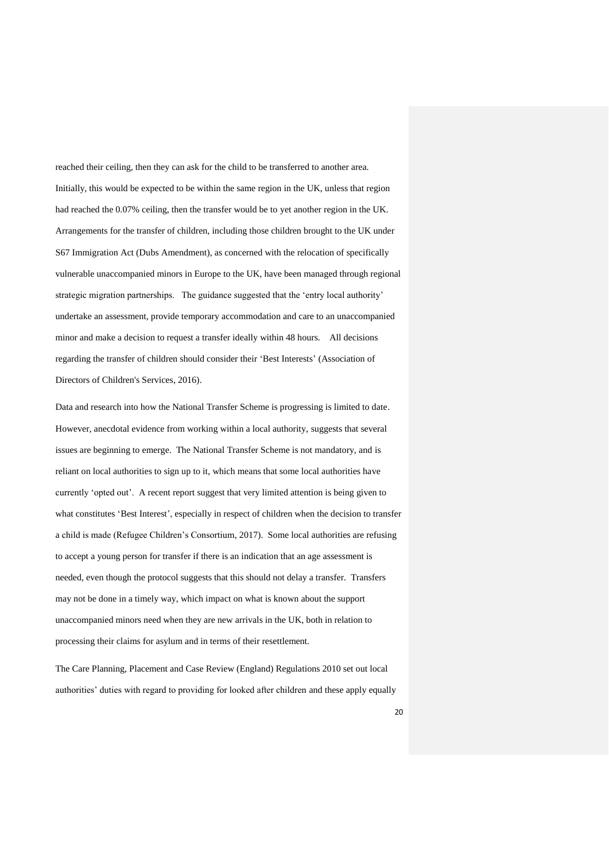reached their ceiling, then they can ask for the child to be transferred to another area. Initially, this would be expected to be within the same region in the UK, unless that region had reached the 0.07% ceiling, then the transfer would be to yet another region in the UK. Arrangements for the transfer of children, including those children brought to the UK under S67 Immigration Act (Dubs Amendment), as concerned with the relocation of specifically vulnerable unaccompanied minors in Europe to the UK, have been managed through regional strategic migration partnerships. The guidance suggested that the 'entry local authority' undertake an assessment, provide temporary accommodation and care to an unaccompanied minor and make a decision to request a transfer ideally within 48 hours. All decisions regarding the transfer of children should consider their 'Best Interests' (Association of Directors of Children's Services, 2016).

Data and research into how the National Transfer Scheme is progressing is limited to date. However, anecdotal evidence from working within a local authority, suggests that several issues are beginning to emerge. The National Transfer Scheme is not mandatory, and is reliant on local authorities to sign up to it, which means that some local authorities have currently 'opted out'. A recent report suggest that very limited attention is being given to what constitutes 'Best Interest', especially in respect of children when the decision to transfer a child is made (Refugee Children's Consortium, 2017). Some local authorities are refusing to accept a young person for transfer if there is an indication that an age assessment is needed, even though the protocol suggests that this should not delay a transfer. Transfers may not be done in a timely way, which impact on what is known about the support unaccompanied minors need when they are new arrivals in the UK, both in relation to processing their claims for asylum and in terms of their resettlement.

The Care Planning, Placement and Case Review (England) Regulations 2010 set out local authorities' duties with regard to providing for looked after children and these apply equally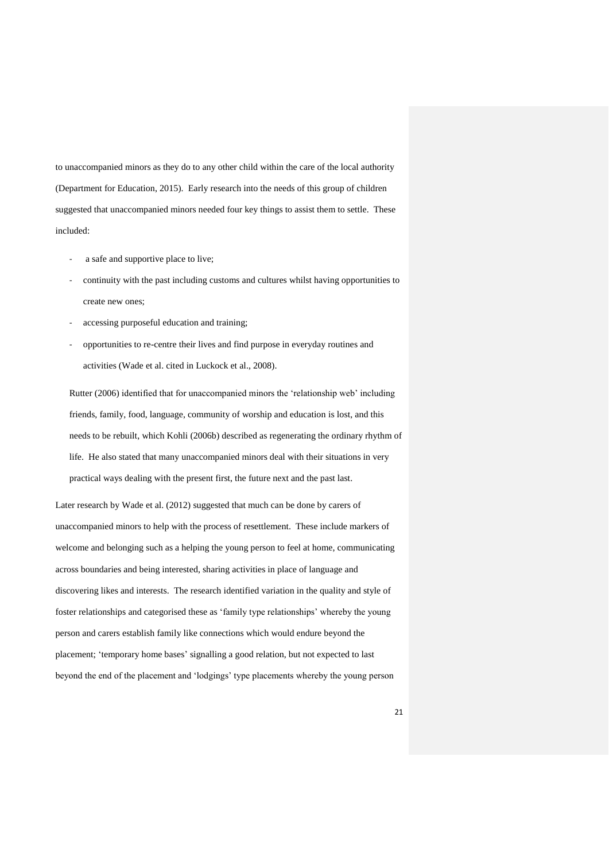to unaccompanied minors as they do to any other child within the care of the local authority (Department for Education, 2015). Early research into the needs of this group of children suggested that unaccompanied minors needed four key things to assist them to settle. These included:

- a safe and supportive place to live;
- continuity with the past including customs and cultures whilst having opportunities to create new ones;
- accessing purposeful education and training;
- opportunities to re-centre their lives and find purpose in everyday routines and activities (Wade et al. cited in Luckock et al., 2008).

Rutter (2006) identified that for unaccompanied minors the 'relationship web' including friends, family, food, language, community of worship and education is lost, and this needs to be rebuilt, which Kohli (2006b) described as regenerating the ordinary rhythm of life. He also stated that many unaccompanied minors deal with their situations in very practical ways dealing with the present first, the future next and the past last.

Later research by Wade et al. (2012) suggested that much can be done by carers of unaccompanied minors to help with the process of resettlement. These include markers of welcome and belonging such as a helping the young person to feel at home, communicating across boundaries and being interested, sharing activities in place of language and discovering likes and interests. The research identified variation in the quality and style of foster relationships and categorised these as 'family type relationships' whereby the young person and carers establish family like connections which would endure beyond the placement; 'temporary home bases' signalling a good relation, but not expected to last beyond the end of the placement and 'lodgings' type placements whereby the young person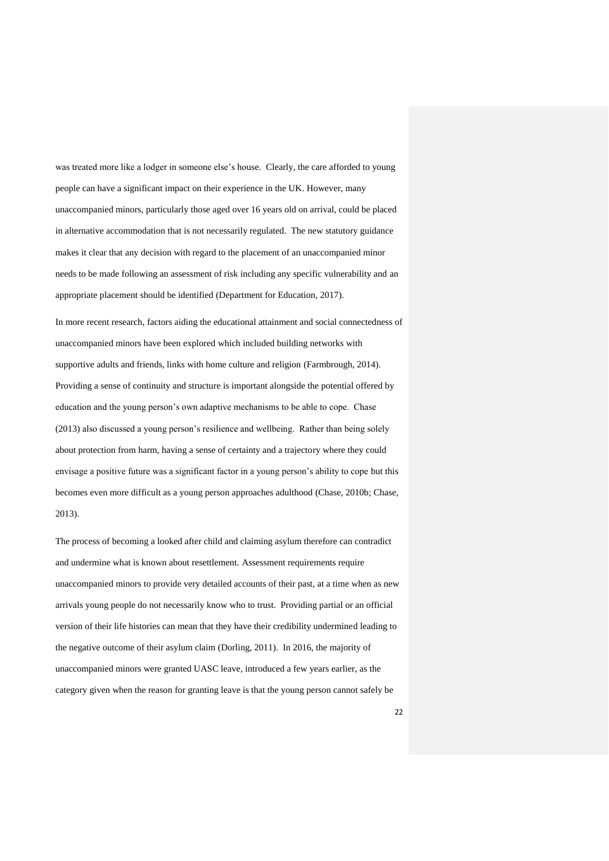was treated more like a lodger in someone else's house. Clearly, the care afforded to young people can have a significant impact on their experience in the UK. However, many unaccompanied minors, particularly those aged over 16 years old on arrival, could be placed in alternative accommodation that is not necessarily regulated. The new statutory guidance makes it clear that any decision with regard to the placement of an unaccompanied minor needs to be made following an assessment of risk including any specific vulnerability and an appropriate placement should be identified (Department for Education, 2017).

In more recent research, factors aiding the educational attainment and social connectedness of unaccompanied minors have been explored which included building networks with supportive adults and friends, links with home culture and religion (Farmbrough, 2014). Providing a sense of continuity and structure is important alongside the potential offered by education and the young person's own adaptive mechanisms to be able to cope. Chase (2013) also discussed a young person's resilience and wellbeing. Rather than being solely about protection from harm, having a sense of certainty and a trajectory where they could envisage a positive future was a significant factor in a young person's ability to cope but this becomes even more difficult as a young person approaches adulthood (Chase, 2010b; Chase, 2013).

The process of becoming a looked after child and claiming asylum therefore can contradict and undermine what is known about resettlement. Assessment requirements require unaccompanied minors to provide very detailed accounts of their past, at a time when as new arrivals young people do not necessarily know who to trust. Providing partial or an official version of their life histories can mean that they have their credibility undermined leading to the negative outcome of their asylum claim (Dorling, 2011). In 2016, the majority of unaccompanied minors were granted UASC leave, introduced a few years earlier, as the category given when the reason for granting leave is that the young person cannot safely be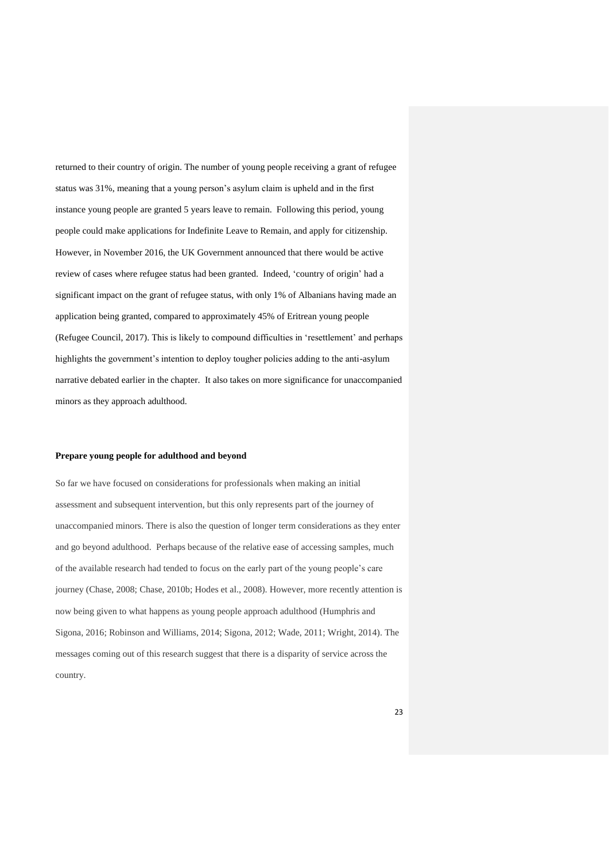returned to their country of origin. The number of young people receiving a grant of refugee status was 31%, meaning that a young person's asylum claim is upheld and in the first instance young people are granted 5 years leave to remain. Following this period, young people could make applications for Indefinite Leave to Remain, and apply for citizenship. However, in November 2016, the UK Government announced that there would be active review of cases where refugee status had been granted. Indeed, 'country of origin' had a significant impact on the grant of refugee status, with only 1% of Albanians having made an application being granted, compared to approximately 45% of Eritrean young people (Refugee Council, 2017). This is likely to compound difficulties in 'resettlement' and perhaps highlights the government's intention to deploy tougher policies adding to the anti-asylum narrative debated earlier in the chapter. It also takes on more significance for unaccompanied minors as they approach adulthood.

#### **Prepare young people for adulthood and beyond**

So far we have focused on considerations for professionals when making an initial assessment and subsequent intervention, but this only represents part of the journey of unaccompanied minors. There is also the question of longer term considerations as they enter and go beyond adulthood. Perhaps because of the relative ease of accessing samples, much of the available research had tended to focus on the early part of the young people's care journey (Chase, 2008; Chase, 2010b; Hodes et al., 2008). However, more recently attention is now being given to what happens as young people approach adulthood (Humphris and Sigona, 2016; Robinson and Williams, 2014; Sigona, 2012; Wade, 2011; Wright, 2014). The messages coming out of this research suggest that there is a disparity of service across the country.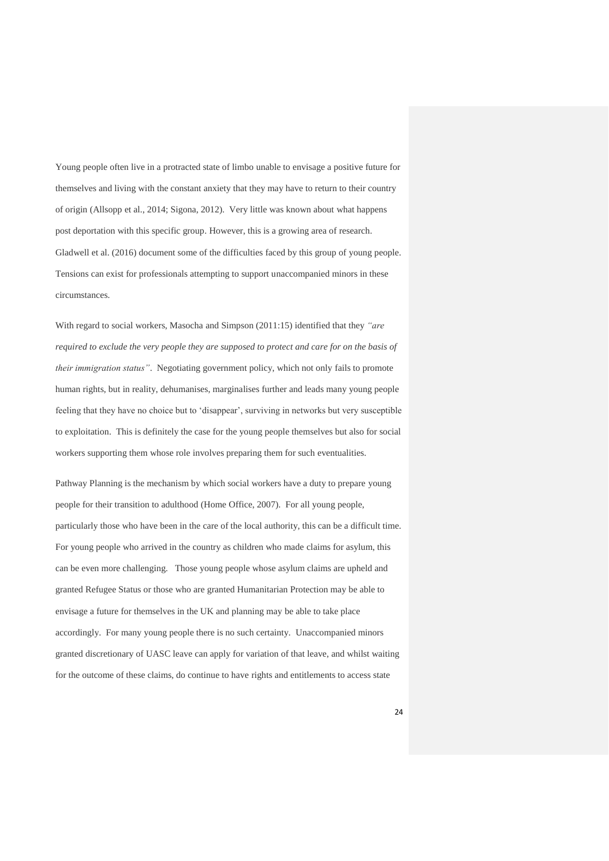Young people often live in a protracted state of limbo unable to envisage a positive future for themselves and living with the constant anxiety that they may have to return to their country of origin (Allsopp et al., 2014; Sigona, 2012). Very little was known about what happens post deportation with this specific group. However, this is a growing area of research. Gladwell et al. (2016) document some of the difficulties faced by this group of young people. Tensions can exist for professionals attempting to support unaccompanied minors in these circumstances.

With regard to social workers, Masocha and Simpson (2011:15) identified that they *"are required to exclude the very people they are supposed to protect and care for on the basis of their immigration status"*. Negotiating government policy, which not only fails to promote human rights, but in reality, dehumanises, marginalises further and leads many young people feeling that they have no choice but to 'disappear', surviving in networks but very susceptible to exploitation. This is definitely the case for the young people themselves but also for social workers supporting them whose role involves preparing them for such eventualities.

Pathway Planning is the mechanism by which social workers have a duty to prepare young people for their transition to adulthood (Home Office, 2007). For all young people, particularly those who have been in the care of the local authority, this can be a difficult time. For young people who arrived in the country as children who made claims for asylum, this can be even more challenging. Those young people whose asylum claims are upheld and granted Refugee Status or those who are granted Humanitarian Protection may be able to envisage a future for themselves in the UK and planning may be able to take place accordingly. For many young people there is no such certainty. Unaccompanied minors granted discretionary of UASC leave can apply for variation of that leave, and whilst waiting for the outcome of these claims, do continue to have rights and entitlements to access state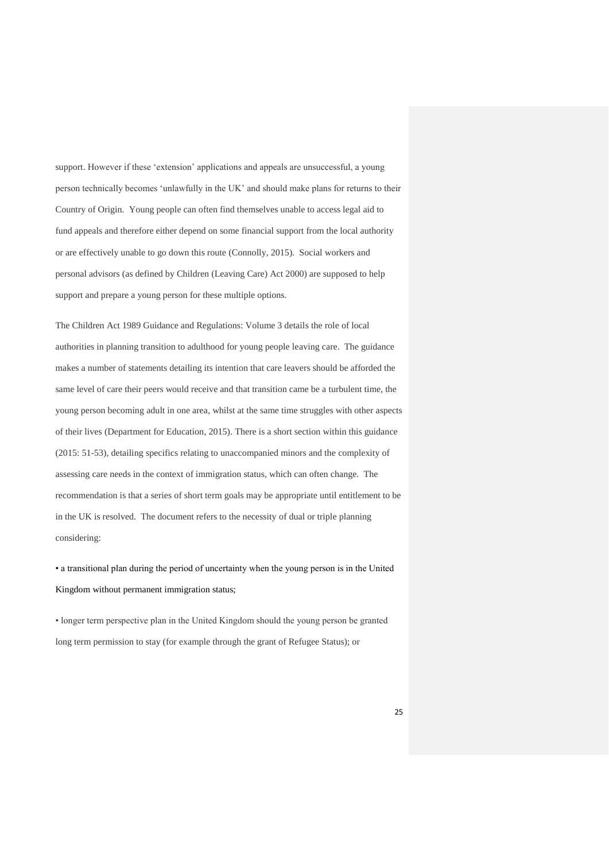support. However if these 'extension' applications and appeals are unsuccessful, a young person technically becomes 'unlawfully in the UK' and should make plans for returns to their Country of Origin. Young people can often find themselves unable to access legal aid to fund appeals and therefore either depend on some financial support from the local authority or are effectively unable to go down this route (Connolly, 2015). Social workers and personal advisors (as defined by Children (Leaving Care) Act 2000) are supposed to help support and prepare a young person for these multiple options.

The Children Act 1989 Guidance and Regulations: Volume 3 details the role of local authorities in planning transition to adulthood for young people leaving care. The guidance makes a number of statements detailing its intention that care leavers should be afforded the same level of care their peers would receive and that transition came be a turbulent time, the young person becoming adult in one area, whilst at the same time struggles with other aspects of their lives (Department for Education, 2015). There is a short section within this guidance (2015: 51-53), detailing specifics relating to unaccompanied minors and the complexity of assessing care needs in the context of immigration status, which can often change. The recommendation is that a series of short term goals may be appropriate until entitlement to be in the UK is resolved. The document refers to the necessity of dual or triple planning considering:

• a transitional plan during the period of uncertainty when the young person is in the United Kingdom without permanent immigration status;

• longer term perspective plan in the United Kingdom should the young person be granted long term permission to stay (for example through the grant of Refugee Status); or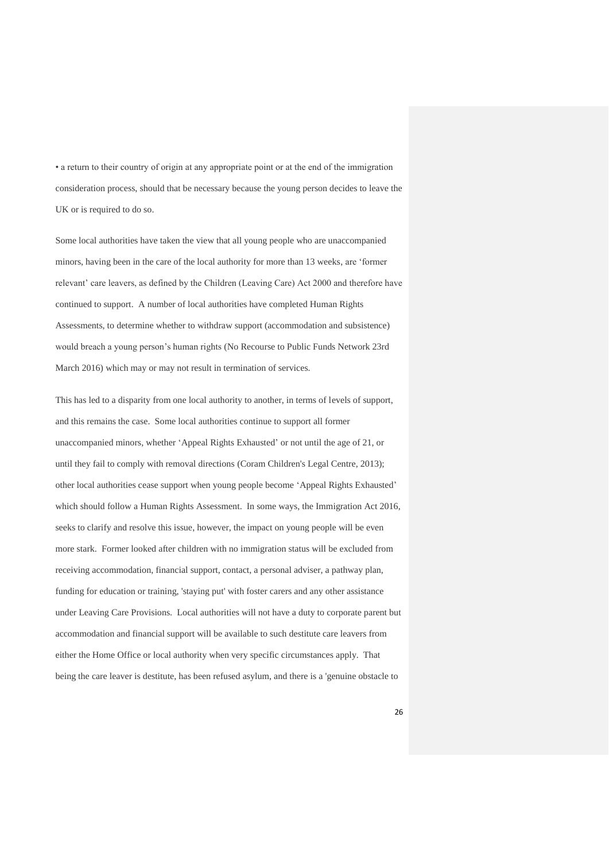• a return to their country of origin at any appropriate point or at the end of the immigration consideration process, should that be necessary because the young person decides to leave the UK or is required to do so.

Some local authorities have taken the view that all young people who are unaccompanied minors, having been in the care of the local authority for more than 13 weeks, are 'former relevant' care leavers, as defined by the Children (Leaving Care) Act 2000 and therefore have continued to support. A number of local authorities have completed Human Rights Assessments, to determine whether to withdraw support (accommodation and subsistence) would breach a young person's human rights (No Recourse to Public Funds Network 23rd March 2016) which may or may not result in termination of services.

This has led to a disparity from one local authority to another, in terms of levels of support, and this remains the case. Some local authorities continue to support all former unaccompanied minors, whether 'Appeal Rights Exhausted' or not until the age of 21, or until they fail to comply with removal directions (Coram Children's Legal Centre, 2013); other local authorities cease support when young people become 'Appeal Rights Exhausted' which should follow a Human Rights Assessment. In some ways, the Immigration Act 2016, seeks to clarify and resolve this issue, however, the impact on young people will be even more stark. Former looked after children with no immigration status will be excluded from receiving accommodation, financial support, contact, a personal adviser, a pathway plan, funding for education or training, 'staying put' with foster carers and any other assistance under Leaving Care Provisions. Local authorities will not have a duty to corporate parent but accommodation and financial support will be available to such destitute care leavers from either the Home Office or local authority when very specific circumstances apply. That being the care leaver is destitute, has been refused asylum, and there is a 'genuine obstacle to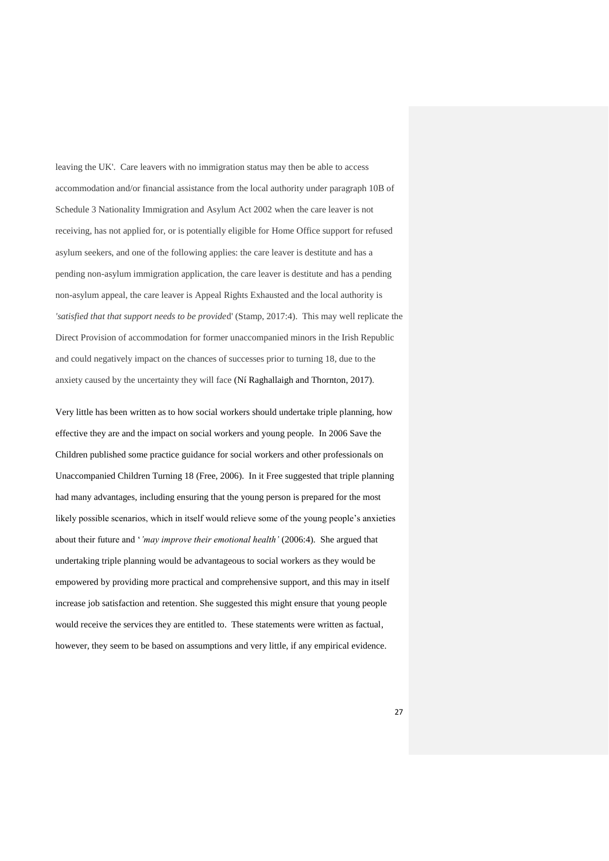leaving the UK'. Care leavers with no immigration status may then be able to access accommodation and/or financial assistance from the local authority under paragraph 10B of Schedule 3 Nationality Immigration and Asylum Act 2002 when the care leaver is not receiving, has not applied for, or is potentially eligible for Home Office support for refused asylum seekers, and one of the following applies: the care leaver is destitute and has a pending non-asylum immigration application, the care leaver is destitute and has a pending non-asylum appeal, the care leaver is Appeal Rights Exhausted and the local authority is *'satisfied that that support needs to be provide*d' (Stamp, 2017:4). This may well replicate the Direct Provision of accommodation for former unaccompanied minors in the Irish Republic and could negatively impact on the chances of successes prior to turning 18, due to the anxiety caused by the uncertainty they will face (Ní Raghallaigh and Thornton, 2017).

Very little has been written as to how social workers should undertake triple planning, how effective they are and the impact on social workers and young people. In 2006 Save the Children published some practice guidance for social workers and other professionals on Unaccompanied Children Turning 18 (Free, 2006). In it Free suggested that triple planning had many advantages, including ensuring that the young person is prepared for the most likely possible scenarios, which in itself would relieve some of the young people's anxieties about their future and '*'may improve their emotional health'* (2006:4)*.* She argued that undertaking triple planning would be advantageous to social workers as they would be empowered by providing more practical and comprehensive support, and this may in itself increase job satisfaction and retention. She suggested this might ensure that young people would receive the services they are entitled to. These statements were written as factual, however, they seem to be based on assumptions and very little, if any empirical evidence.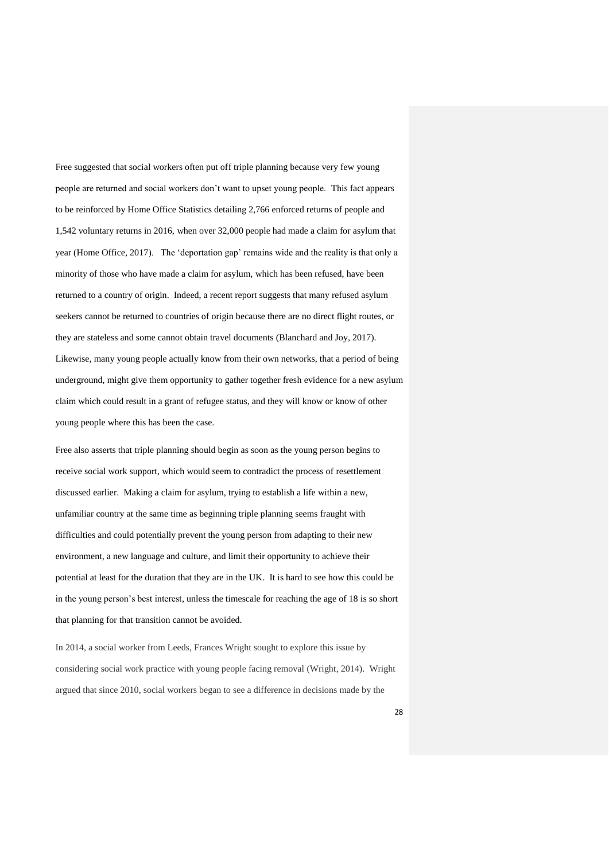Free suggested that social workers often put off triple planning because very few young people are returned and social workers don't want to upset young people. This fact appears to be reinforced by Home Office Statistics detailing 2,766 enforced returns of people and 1,542 voluntary returns in 2016, when over 32,000 people had made a claim for asylum that year (Home Office, 2017). The 'deportation gap' remains wide and the reality is that only a minority of those who have made a claim for asylum, which has been refused, have been returned to a country of origin. Indeed, a recent report suggests that many refused asylum seekers cannot be returned to countries of origin because there are no direct flight routes, or they are stateless and some cannot obtain travel documents (Blanchard and Joy, 2017). Likewise, many young people actually know from their own networks, that a period of being underground, might give them opportunity to gather together fresh evidence for a new asylum claim which could result in a grant of refugee status, and they will know or know of other young people where this has been the case.

Free also asserts that triple planning should begin as soon as the young person begins to receive social work support, which would seem to contradict the process of resettlement discussed earlier. Making a claim for asylum, trying to establish a life within a new, unfamiliar country at the same time as beginning triple planning seems fraught with difficulties and could potentially prevent the young person from adapting to their new environment, a new language and culture, and limit their opportunity to achieve their potential at least for the duration that they are in the UK. It is hard to see how this could be in the young person's best interest, unless the timescale for reaching the age of 18 is so short that planning for that transition cannot be avoided.

In 2014, a social worker from Leeds, Frances Wright sought to explore this issue by considering social work practice with young people facing removal (Wright, 2014). Wright argued that since 2010, social workers began to see a difference in decisions made by the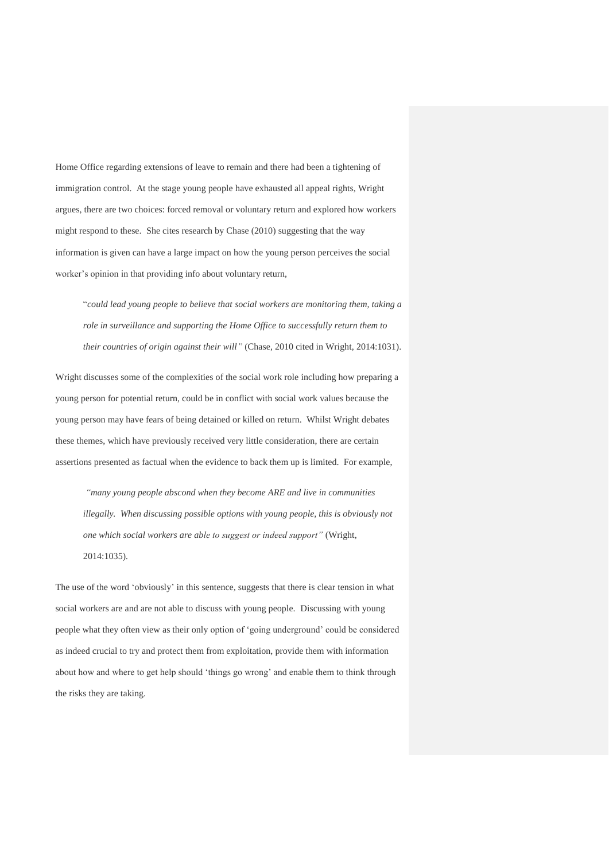Home Office regarding extensions of leave to remain and there had been a tightening of immigration control. At the stage young people have exhausted all appeal rights, Wright argues, there are two choices: forced removal or voluntary return and explored how workers might respond to these. She cites research by Chase (2010) suggesting that the way information is given can have a large impact on how the young person perceives the social worker's opinion in that providing info about voluntary return,

"*could lead young people to believe that social workers are monitoring them, taking a role in surveillance and supporting the Home Office to successfully return them to their countries of origin against their will"* (Chase, 2010 cited in Wright, 2014:1031).

Wright discusses some of the complexities of the social work role including how preparing a young person for potential return, could be in conflict with social work values because the young person may have fears of being detained or killed on return. Whilst Wright debates these themes, which have previously received very little consideration, there are certain assertions presented as factual when the evidence to back them up is limited. For example,

*"many young people abscond when they become ARE and live in communities illegally. When discussing possible options with young people, this is obviously not one which social workers are able to suggest or indeed support"* (Wright, 2014:1035)*.* 

The use of the word 'obviously' in this sentence, suggests that there is clear tension in what social workers are and are not able to discuss with young people. Discussing with young people what they often view as their only option of 'going underground' could be considered as indeed crucial to try and protect them from exploitation, provide them with information about how and where to get help should 'things go wrong' and enable them to think through the risks they are taking.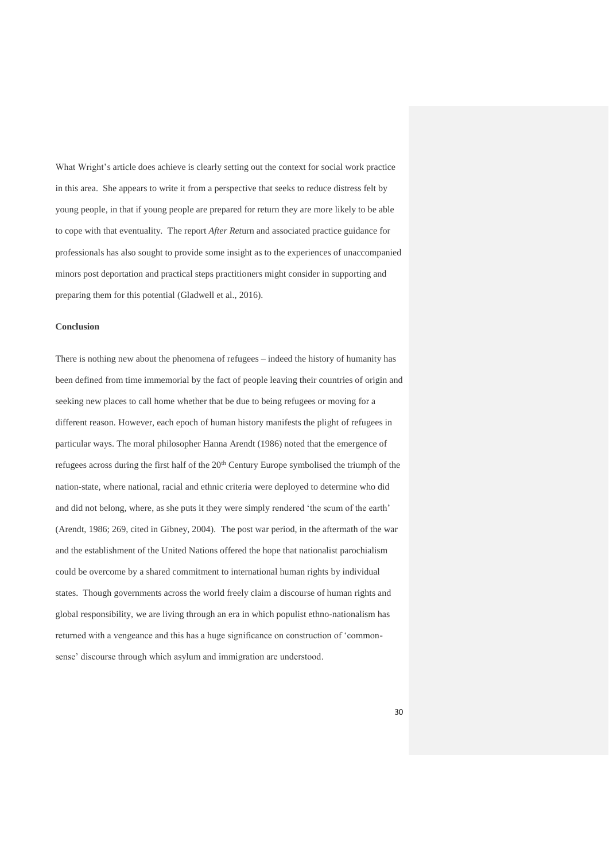What Wright's article does achieve is clearly setting out the context for social work practice in this area. She appears to write it from a perspective that seeks to reduce distress felt by young people, in that if young people are prepared for return they are more likely to be able to cope with that eventuality. The report *After Ret*urn and associated practice guidance for professionals has also sought to provide some insight as to the experiences of unaccompanied minors post deportation and practical steps practitioners might consider in supporting and preparing them for this potential (Gladwell et al., 2016).

#### **Conclusion**

There is nothing new about the phenomena of refugees – indeed the history of humanity has been defined from time immemorial by the fact of people leaving their countries of origin and seeking new places to call home whether that be due to being refugees or moving for a different reason. However, each epoch of human history manifests the plight of refugees in particular ways. The moral philosopher Hanna Arendt (1986) noted that the emergence of refugees across during the first half of the  $20<sup>th</sup>$  Century Europe symbolised the triumph of the nation-state, where national, racial and ethnic criteria were deployed to determine who did and did not belong, where, as she puts it they were simply rendered 'the scum of the earth' (Arendt, 1986; 269, cited in Gibney, 2004). The post war period, in the aftermath of the war and the establishment of the United Nations offered the hope that nationalist parochialism could be overcome by a shared commitment to international human rights by individual states. Though governments across the world freely claim a discourse of human rights and global responsibility, we are living through an era in which populist ethno-nationalism has returned with a vengeance and this has a huge significance on construction of 'commonsense' discourse through which asylum and immigration are understood.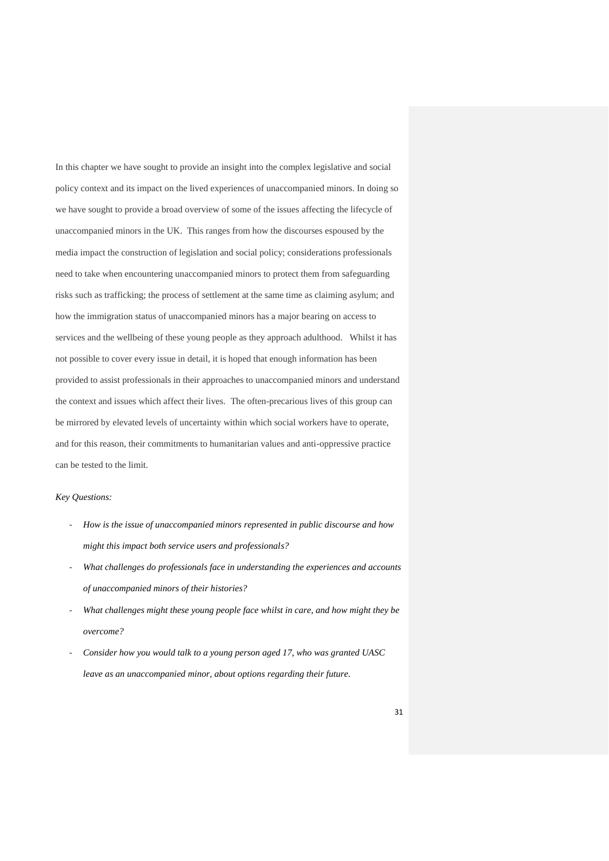In this chapter we have sought to provide an insight into the complex legislative and social policy context and its impact on the lived experiences of unaccompanied minors. In doing so we have sought to provide a broad overview of some of the issues affecting the lifecycle of unaccompanied minors in the UK. This ranges from how the discourses espoused by the media impact the construction of legislation and social policy; considerations professionals need to take when encountering unaccompanied minors to protect them from safeguarding risks such as trafficking; the process of settlement at the same time as claiming asylum; and how the immigration status of unaccompanied minors has a major bearing on access to services and the wellbeing of these young people as they approach adulthood. Whilst it has not possible to cover every issue in detail, it is hoped that enough information has been provided to assist professionals in their approaches to unaccompanied minors and understand the context and issues which affect their lives. The often-precarious lives of this group can be mirrored by elevated levels of uncertainty within which social workers have to operate, and for this reason, their commitments to humanitarian values and anti-oppressive practice can be tested to the limit.

# *Key Questions:*

- *How is the issue of unaccompanied minors represented in public discourse and how might this impact both service users and professionals?*
- *What challenges do professionals face in understanding the experiences and accounts of unaccompanied minors of their histories?*
- What challenges might these young people face whilst in care, and how might they be *overcome?*
- *Consider how you would talk to a young person aged 17, who was granted UASC leave as an unaccompanied minor, about options regarding their future.*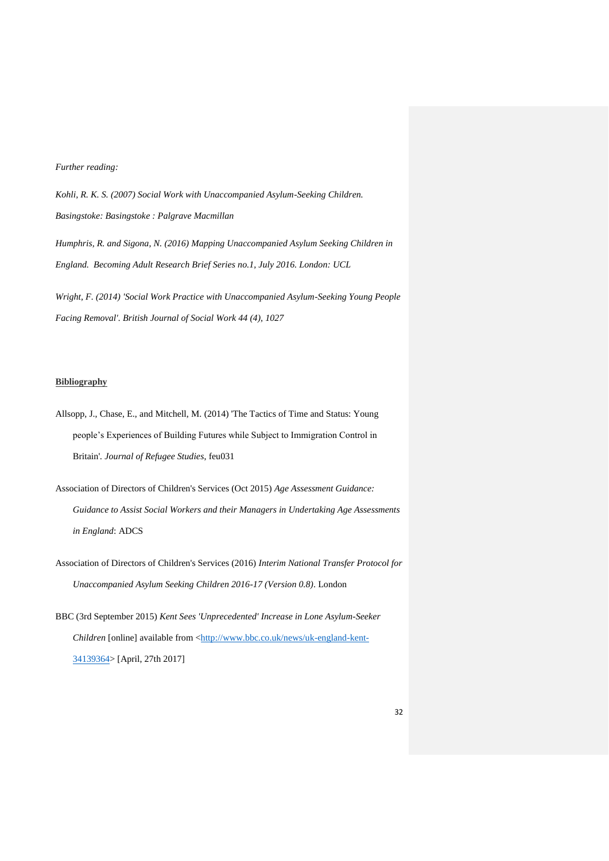# *Further reading:*

*Kohli, R. K. S. (2007) Social Work with Unaccompanied Asylum-Seeking Children. Basingstoke: Basingstoke : Palgrave Macmillan Humphris, R. and Sigona, N. (2016) Mapping Unaccompanied Asylum Seeking Children in England. Becoming Adult Research Brief Series no.1, July 2016. London: UCL*

*Wright, F. (2014) 'Social Work Practice with Unaccompanied Asylum-Seeking Young People Facing Removal'. British Journal of Social Work 44 (4), 1027*

#### **Bibliography**

- Allsopp, J., Chase, E., and Mitchell, M. (2014) 'The Tactics of Time and Status: Young people's Experiences of Building Futures while Subject to Immigration Control in Britain'*. Journal of Refugee Studies*, feu031
- Association of Directors of Children's Services (Oct 2015) *Age Assessment Guidance: Guidance to Assist Social Workers and their Managers in Undertaking Age Assessments in England*: ADCS
- Association of Directors of Children's Services (2016) *Interim National Transfer Protocol for Unaccompanied Asylum Seeking Children 2016-17 (Version 0.8)*. London
- BBC (3rd September 2015) *Kent Sees 'Unprecedented' Increase in Lone Asylum-Seeker Children* [online] available from [<http://www.bbc.co.uk/news/uk-england-kent-](http://www.bbc.co.uk/news/uk-england-kent-34139364)[34139364>](http://www.bbc.co.uk/news/uk-england-kent-34139364) [April, 27th 2017]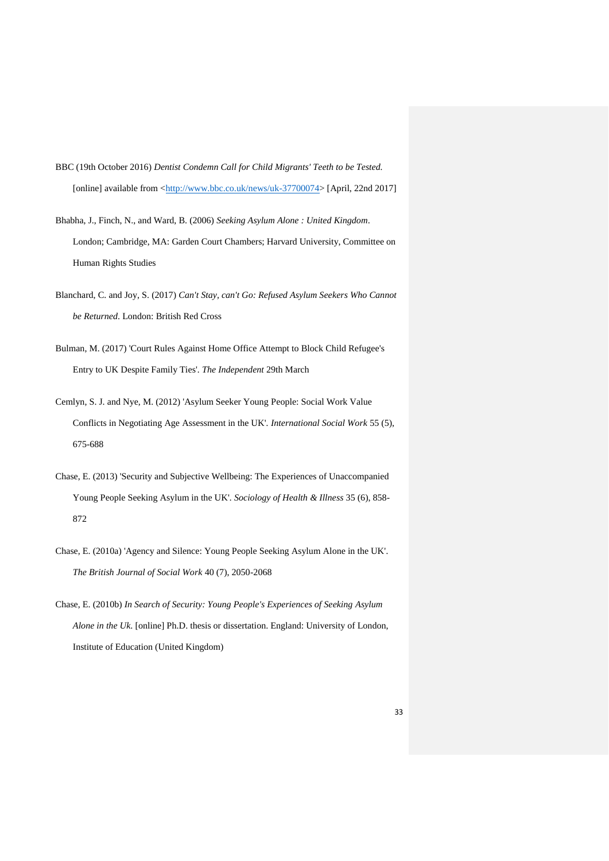- BBC (19th October 2016) *Dentist Condemn Call for Child Migrants' Teeth to be Tested.* [online] available from [<http://www.bbc.co.uk/news/uk-37700074>](http://www.bbc.co.uk/news/uk-37700074) [April, 22nd 2017]
- Bhabha, J., Finch, N., and Ward, B. (2006) *Seeking Asylum Alone : United Kingdom*. London; Cambridge, MA: Garden Court Chambers; Harvard University, Committee on Human Rights Studies
- Blanchard, C. and Joy, S. (2017) *Can't Stay, can't Go: Refused Asylum Seekers Who Cannot be Returned*. London: British Red Cross
- Bulman, M. (2017) 'Court Rules Against Home Office Attempt to Block Child Refugee's Entry to UK Despite Family Ties'*. The Independent* 29th March
- Cemlyn, S. J. and Nye, M. (2012) 'Asylum Seeker Young People: Social Work Value Conflicts in Negotiating Age Assessment in the UK'*. International Social Work* 55 (5), 675-688
- Chase, E. (2013) 'Security and Subjective Wellbeing: The Experiences of Unaccompanied Young People Seeking Asylum in the UK'*. Sociology of Health & Illness* 35 (6), 858- 872
- Chase, E. (2010a) 'Agency and Silence: Young People Seeking Asylum Alone in the UK'*. The British Journal of Social Work* 40 (7), 2050-2068
- Chase, E. (2010b) *In Search of Security: Young People's Experiences of Seeking Asylum Alone in the Uk*. [online] Ph.D. thesis or dissertation. England: University of London, Institute of Education (United Kingdom)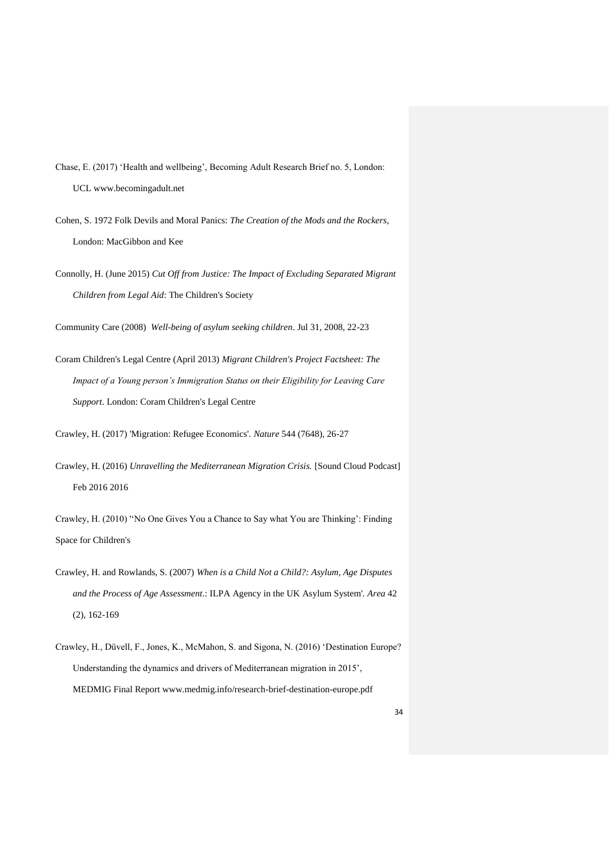- Chase, E. (2017) 'Health and wellbeing', Becoming Adult Research Brief no. 5, London: UCL www.becomingadult.net
- Cohen, S. 1972 Folk Devils and Moral Panics: *The Creation of the Mods and the Rockers,*  London: MacGibbon and Kee
- Connolly, H. (June 2015) *Cut Off from Justice: The Impact of Excluding Separated Migrant Children from Legal Aid*: The Children's Society

Community Care (2008) *Well-being of asylum seeking children*. Jul 31, 2008, 22-23

Coram Children's Legal Centre (April 2013) *Migrant Children's Project Factsheet: The Impact of a Young person's Immigration Status on their Eligibility for Leaving Care Support*. London: Coram Children's Legal Centre

Crawley, H. (2017) 'Migration: Refugee Economics'*. Nature* 544 (7648), 26-27

Crawley, H. (2016) *Unravelling the Mediterranean Migration Crisis.* [Sound Cloud Podcast] Feb 2016 2016

Crawley, H. (2010) ''No One Gives You a Chance to Say what You are Thinking': Finding Space for Children's

- Crawley, H. and Rowlands, S. (2007) *When is a Child Not a Child?: Asylum, Age Disputes and the Process of Age Assessment*.: ILPA Agency in the UK Asylum System'*. Area* 42 (2), 162-169
- Crawley, H., Düvell, F., Jones, K., McMahon, S. and Sigona, N. (2016) 'Destination Europe? Understanding the dynamics and drivers of Mediterranean migration in 2015', MEDMIG Final Report www.medmig.info/research-brief-destination-europe.pdf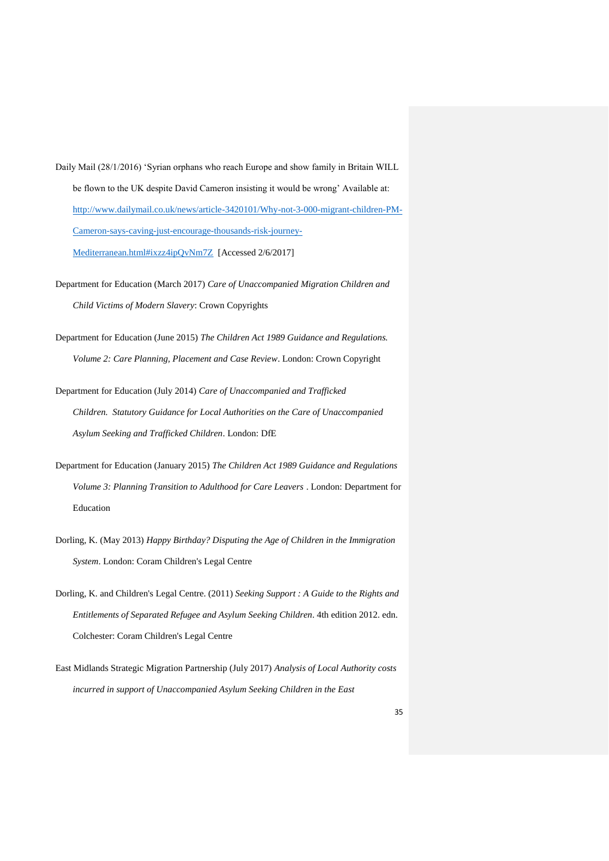- Daily Mail (28/1/2016) 'Syrian orphans who reach Europe and show family in Britain WILL be flown to the UK despite David Cameron insisting it would be wrong' Available at: [http://www.dailymail.co.uk/news/article-3420101/Why-not-3-000-migrant-children-PM-](http://www.dailymail.co.uk/news/article-3420101/Why-not-3-000-migrant-children-PM-Cameron-says-caving-just-encourage-thousands-risk-journey-Mediterranean.html#ixzz4ipQvNm7Z)[Cameron-says-caving-just-encourage-thousands-risk-journey-](http://www.dailymail.co.uk/news/article-3420101/Why-not-3-000-migrant-children-PM-Cameron-says-caving-just-encourage-thousands-risk-journey-Mediterranean.html#ixzz4ipQvNm7Z)[Mediterranean.html#ixzz4ipQvNm7Z](http://www.dailymail.co.uk/news/article-3420101/Why-not-3-000-migrant-children-PM-Cameron-says-caving-just-encourage-thousands-risk-journey-Mediterranean.html#ixzz4ipQvNm7Z) [Accessed 2/6/2017]
- Department for Education (March 2017) *Care of Unaccompanied Migration Children and Child Victims of Modern Slavery*: Crown Copyrights
- Department for Education (June 2015) *The Children Act 1989 Guidance and Regulations. Volume 2: Care Planning, Placement and Case Review*. London: Crown Copyright
- Department for Education (July 2014) *Care of Unaccompanied and Trafficked Children. Statutory Guidance for Local Authorities on the Care of Unaccompanied Asylum Seeking and Trafficked Children*. London: DfE
- Department for Education (January 2015) *The Children Act 1989 Guidance and Regulations Volume 3: Planning Transition to Adulthood for Care Leavers* . London: Department for Education
- Dorling, K. (May 2013) *Happy Birthday? Disputing the Age of Children in the Immigration System*. London: Coram Children's Legal Centre
- Dorling, K. and Children's Legal Centre. (2011) *Seeking Support : A Guide to the Rights and Entitlements of Separated Refugee and Asylum Seeking Children*. 4th edition 2012. edn. Colchester: Coram Children's Legal Centre
- East Midlands Strategic Migration Partnership (July 2017) *Analysis of Local Authority costs incurred in support of Unaccompanied Asylum Seeking Children in the East*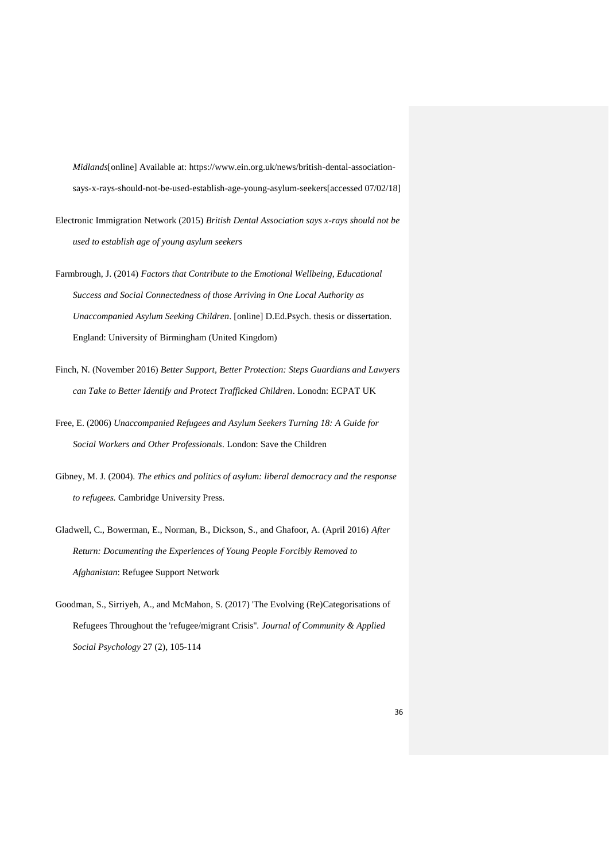*Midlands*[online] Available at: https://www.ein.org.uk/news/british-dental-associationsays-x-rays-should-not-be-used-establish-age-young-asylum-seekers[accessed 07/02/18]

- Electronic Immigration Network (2015) *British Dental Association says x-rays should not be used to establish age of young asylum seekers*
- Farmbrough, J. (2014) *Factors that Contribute to the Emotional Wellbeing, Educational Success and Social Connectedness of those Arriving in One Local Authority as Unaccompanied Asylum Seeking Children*. [online] D.Ed.Psych. thesis or dissertation. England: University of Birmingham (United Kingdom)
- Finch, N. (November 2016) *Better Support, Better Protection: Steps Guardians and Lawyers can Take to Better Identify and Protect Trafficked Children*. Lonodn: ECPAT UK
- Free, E. (2006) *Unaccompanied Refugees and Asylum Seekers Turning 18: A Guide for Social Workers and Other Professionals*. London: Save the Children
- Gibney, M. J. (2004). *The ethics and politics of asylum: liberal democracy and the response to refugees.* Cambridge University Press.
- Gladwell, C., Bowerman, E., Norman, B., Dickson, S., and Ghafoor, A. (April 2016) *After Return: Documenting the Experiences of Young People Forcibly Removed to Afghanistan*: Refugee Support Network
- Goodman, S., Sirriyeh, A., and McMahon, S. (2017) 'The Evolving (Re)Categorisations of Refugees Throughout the 'refugee/migrant Crisis''*. Journal of Community & Applied Social Psychology* 27 (2), 105-114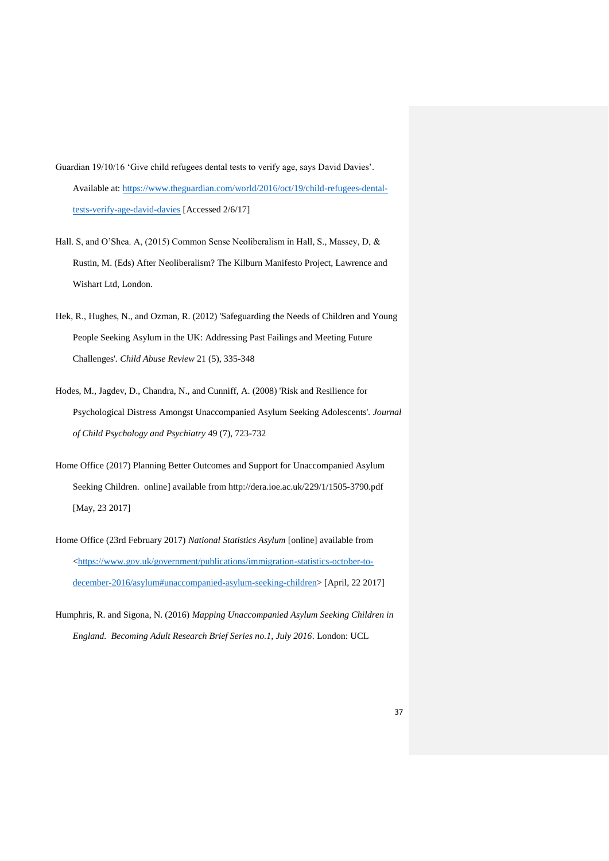- Guardian 19/10/16 'Give child refugees dental tests to verify age, says David Davies'. Available at: [https://www.theguardian.com/world/2016/oct/19/child-refugees-dental](https://www.theguardian.com/world/2016/oct/19/child-refugees-dental-tests-verify-age-david-davies)[tests-verify-age-david-davies](https://www.theguardian.com/world/2016/oct/19/child-refugees-dental-tests-verify-age-david-davies) [Accessed 2/6/17]
- Hall. S, and O'Shea. A, (2015) Common Sense Neoliberalism in Hall, S., Massey, D, & Rustin, M. (Eds) After Neoliberalism? The Kilburn Manifesto Project, Lawrence and Wishart Ltd, London.
- Hek, R., Hughes, N., and Ozman, R. (2012) 'Safeguarding the Needs of Children and Young People Seeking Asylum in the UK: Addressing Past Failings and Meeting Future Challenges'*. Child Abuse Review* 21 (5), 335-348
- Hodes, M., Jagdev, D., Chandra, N., and Cunniff, A. (2008) 'Risk and Resilience for Psychological Distress Amongst Unaccompanied Asylum Seeking Adolescents'*. Journal of Child Psychology and Psychiatry* 49 (7), 723-732
- Home Office (2017) Planning Better Outcomes and Support for Unaccompanied Asylum Seeking Children. online] available from http://dera.ioe.ac.uk/229/1/1505-3790.pdf [May, 23 2017]
- Home Office (23rd February 2017) *National Statistics Asylum* [online] available from [<https://www.gov.uk/government/publications/immigration-statistics-october-to](https://www.gov.uk/government/publications/immigration-statistics-october-to-december-2016/asylum#unaccompanied-asylum-seeking-children)[december-2016/asylum#unaccompanied-asylum-seeking-children>](https://www.gov.uk/government/publications/immigration-statistics-october-to-december-2016/asylum#unaccompanied-asylum-seeking-children) [April, 22 2017]
- Humphris, R. and Sigona, N. (2016) *Mapping Unaccompanied Asylum Seeking Children in England. Becoming Adult Research Brief Series no.1, July 2016*. London: UCL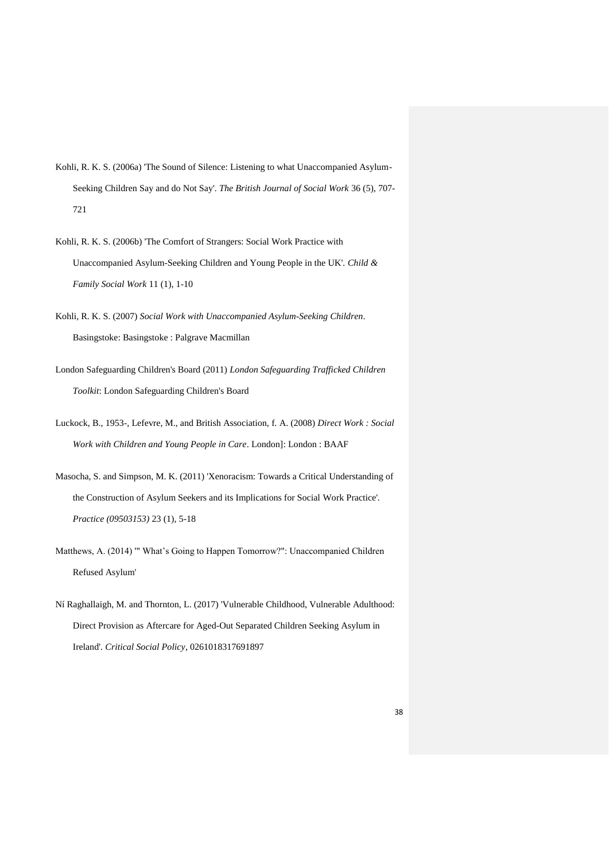- Kohli, R. K. S. (2006a) 'The Sound of Silence: Listening to what Unaccompanied Asylum-Seeking Children Say and do Not Say'*. The British Journal of Social Work* 36 (5), 707- 721
- Kohli, R. K. S. (2006b) 'The Comfort of Strangers: Social Work Practice with Unaccompanied Asylum-Seeking Children and Young People in the UK'*. Child & Family Social Work* 11 (1), 1-10
- Kohli, R. K. S. (2007) *Social Work with Unaccompanied Asylum-Seeking Children*. Basingstoke: Basingstoke : Palgrave Macmillan
- London Safeguarding Children's Board (2011) *London Safeguarding Trafficked Children Toolkit*: London Safeguarding Children's Board
- Luckock, B., 1953-, Lefevre, M., and British Association, f. A. (2008) *Direct Work : Social Work with Children and Young People in Care*. London]: London : BAAF
- Masocha, S. and Simpson, M. K. (2011) 'Xenoracism: Towards a Critical Understanding of the Construction of Asylum Seekers and its Implications for Social Work Practice'*. Practice (09503153)* 23 (1), 5-18
- Matthews, A. (2014) '" What's Going to Happen Tomorrow?": Unaccompanied Children Refused Asylum'
- Ní Raghallaigh, M. and Thornton, L. (2017) 'Vulnerable Childhood, Vulnerable Adulthood: Direct Provision as Aftercare for Aged-Out Separated Children Seeking Asylum in Ireland'*. Critical Social Policy*, 0261018317691897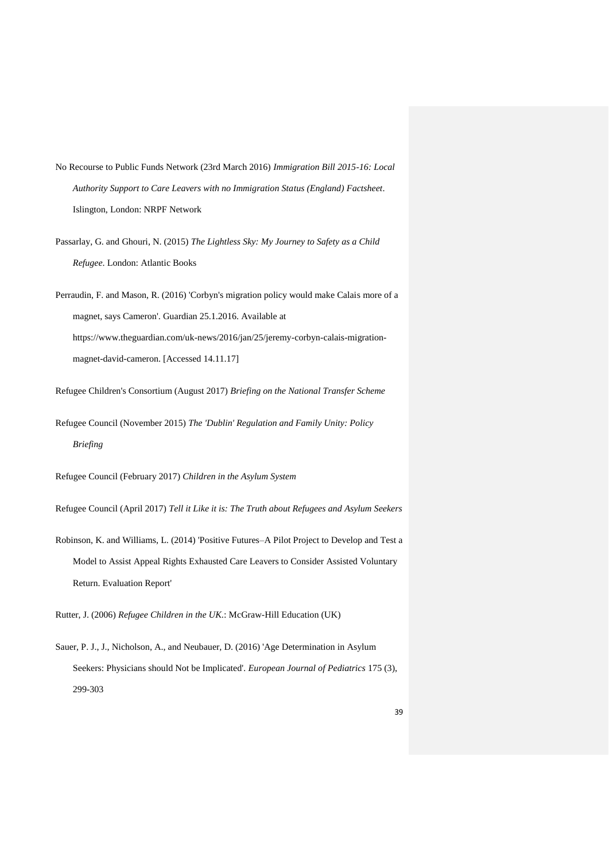- No Recourse to Public Funds Network (23rd March 2016) *Immigration Bill 2015-16: Local Authority Support to Care Leavers with no Immigration Status (England) Factsheet*. Islington, London: NRPF Network
- Passarlay, G. and Ghouri, N. (2015) *The Lightless Sky: My Journey to Safety as a Child Refugee*. London: Atlantic Books

Perraudin, F. and Mason, R. (2016) 'Corbyn's migration policy would make Calais more of a magnet, says Cameron'. Guardian 25.1.2016. Available at https://www.theguardian.com/uk-news/2016/jan/25/jeremy-corbyn-calais-migrationmagnet-david-cameron. [Accessed 14.11.17]

Refugee Children's Consortium (August 2017) *Briefing on the National Transfer Scheme*

Refugee Council (November 2015) *The 'Dublin' Regulation and Family Unity: Policy Briefing*

Refugee Council (February 2017) *Children in the Asylum System*

Refugee Council (April 2017) *Tell it Like it is: The Truth about Refugees and Asylum Seekers*

Robinson, K. and Williams, L. (2014) 'Positive Futures–A Pilot Project to Develop and Test a Model to Assist Appeal Rights Exhausted Care Leavers to Consider Assisted Voluntary Return. Evaluation Report'

Rutter, J. (2006) *Refugee Children in the UK*.: McGraw-Hill Education (UK)

Sauer, P. J., J., Nicholson, A., and Neubauer, D. (2016) 'Age Determination in Asylum Seekers: Physicians should Not be Implicated'*. European Journal of Pediatrics* 175 (3), 299-303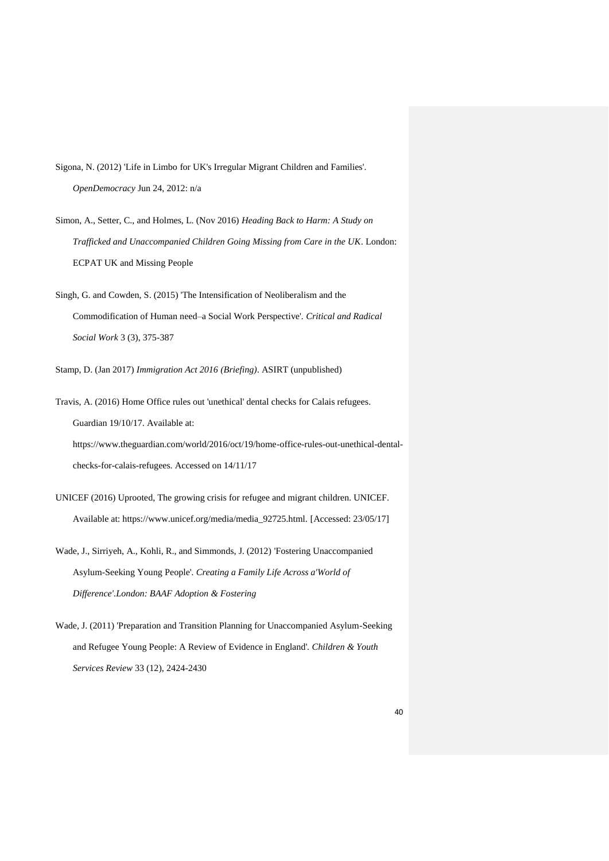- Sigona, N. (2012) 'Life in Limbo for UK's Irregular Migrant Children and Families'*. OpenDemocracy* Jun 24, 2012: n/a
- Simon, A., Setter, C., and Holmes, L. (Nov 2016) *Heading Back to Harm: A Study on Trafficked and Unaccompanied Children Going Missing from Care in the UK*. London: ECPAT UK and Missing People
- Singh, G. and Cowden, S. (2015) 'The Intensification of Neoliberalism and the Commodification of Human need–a Social Work Perspective'*. Critical and Radical Social Work* 3 (3), 375-387
- Stamp, D. (Jan 2017) *Immigration Act 2016 (Briefing)*. ASIRT (unpublished)
- Travis, A. (2016) Home Office rules out 'unethical' dental checks for Calais refugees. Guardian 19/10/17. Available at: https://www.theguardian.com/world/2016/oct/19/home-office-rules-out-unethical-dental-

checks-for-calais-refugees. Accessed on 14/11/17

- UNICEF (2016) Uprooted, The growing crisis for refugee and migrant children. UNICEF. Available at: https://www.unicef.org/media/media\_92725.html. [Accessed: 23/05/17]
- Wade, J., Sirriyeh, A., Kohli, R., and Simmonds, J. (2012) 'Fostering Unaccompanied Asylum-Seeking Young People'*. Creating a Family Life Across a'World of Difference'.London: BAAF Adoption & Fostering*
- Wade, J. (2011) 'Preparation and Transition Planning for Unaccompanied Asylum-Seeking and Refugee Young People: A Review of Evidence in England'*. Children & Youth Services Review* 33 (12), 2424-2430